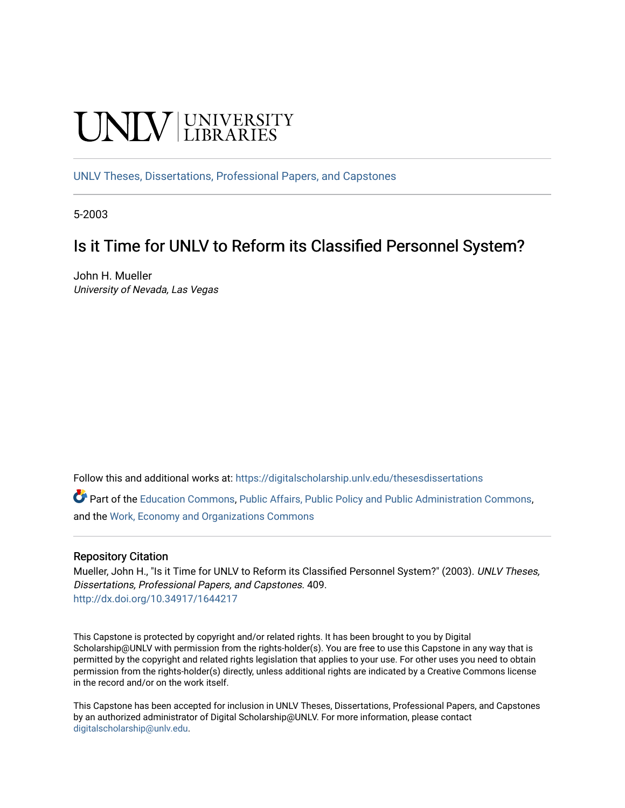# UNIV UNIVERSITY

[UNLV Theses, Dissertations, Professional Papers, and Capstones](https://digitalscholarship.unlv.edu/thesesdissertations)

5-2003

# Is it Time for UNLV to Reform its Classified Personnel System?

John H. Mueller University of Nevada, Las Vegas

Follow this and additional works at: [https://digitalscholarship.unlv.edu/thesesdissertations](https://digitalscholarship.unlv.edu/thesesdissertations?utm_source=digitalscholarship.unlv.edu%2Fthesesdissertations%2F409&utm_medium=PDF&utm_campaign=PDFCoverPages)

Part of the [Education Commons](http://network.bepress.com/hgg/discipline/784?utm_source=digitalscholarship.unlv.edu%2Fthesesdissertations%2F409&utm_medium=PDF&utm_campaign=PDFCoverPages), [Public Affairs, Public Policy and Public Administration Commons](http://network.bepress.com/hgg/discipline/393?utm_source=digitalscholarship.unlv.edu%2Fthesesdissertations%2F409&utm_medium=PDF&utm_campaign=PDFCoverPages), and the [Work, Economy and Organizations Commons](http://network.bepress.com/hgg/discipline/433?utm_source=digitalscholarship.unlv.edu%2Fthesesdissertations%2F409&utm_medium=PDF&utm_campaign=PDFCoverPages) 

#### Repository Citation

Mueller, John H., "Is it Time for UNLV to Reform its Classified Personnel System?" (2003). UNLV Theses, Dissertations, Professional Papers, and Capstones. 409. <http://dx.doi.org/10.34917/1644217>

This Capstone is protected by copyright and/or related rights. It has been brought to you by Digital Scholarship@UNLV with permission from the rights-holder(s). You are free to use this Capstone in any way that is permitted by the copyright and related rights legislation that applies to your use. For other uses you need to obtain permission from the rights-holder(s) directly, unless additional rights are indicated by a Creative Commons license in the record and/or on the work itself.

This Capstone has been accepted for inclusion in UNLV Theses, Dissertations, Professional Papers, and Capstones by an authorized administrator of Digital Scholarship@UNLV. For more information, please contact [digitalscholarship@unlv.edu](mailto:digitalscholarship@unlv.edu).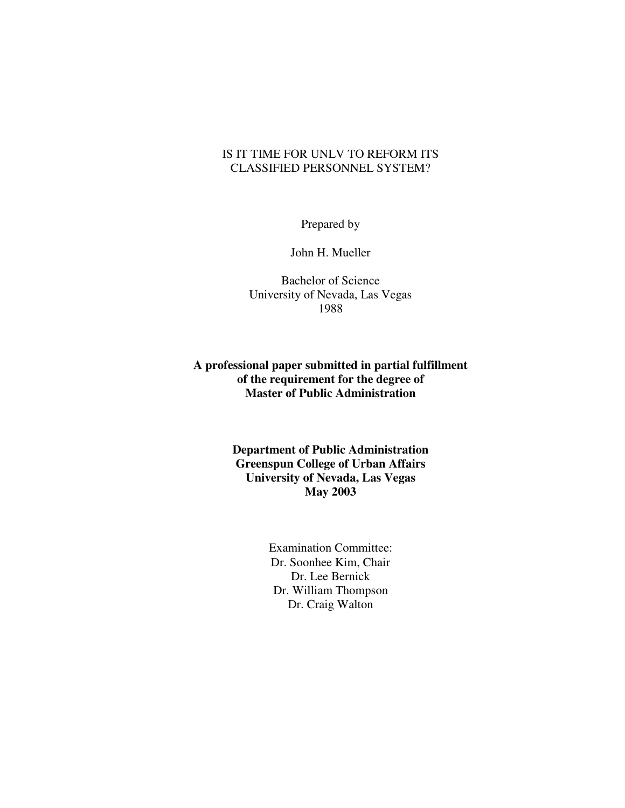## IS IT TIME FOR UNLV TO REFORM ITS CLASSIFIED PERSONNEL SYSTEM?

Prepared by

John H. Mueller

Bachelor of Science University of Nevada, Las Vegas 1988

**A professional paper submitted in partial fulfillment of the requirement for the degree of Master of Public Administration** 

> **Department of Public Administration Greenspun College of Urban Affairs University of Nevada, Las Vegas May 2003**

> > Examination Committee: Dr. Soonhee Kim, Chair Dr. Lee Bernick Dr. William Thompson Dr. Craig Walton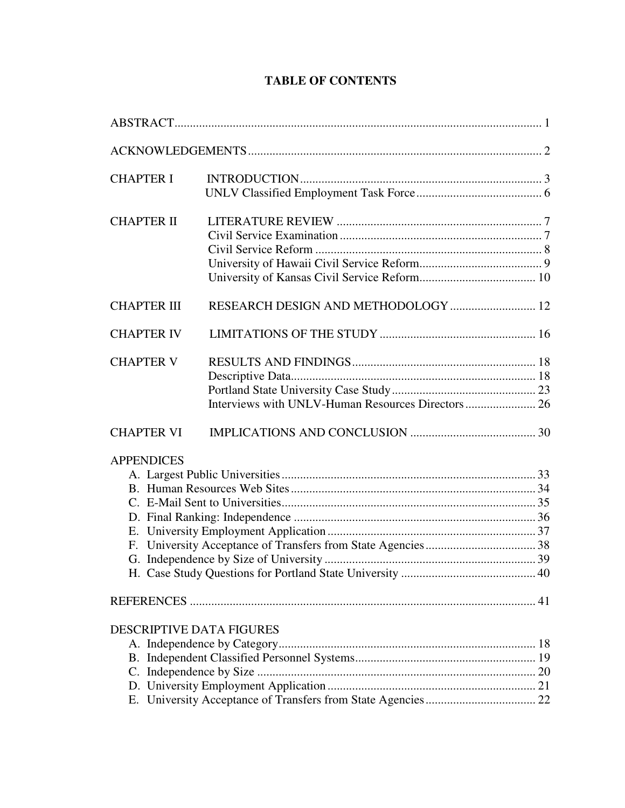# **TABLE OF CONTENTS**

| <b>CHAPTER I</b>                |                                     |  |
|---------------------------------|-------------------------------------|--|
| <b>CHAPTER II</b>               |                                     |  |
| <b>CHAPTER III</b>              | RESEARCH DESIGN AND METHODOLOGY  12 |  |
| <b>CHAPTER IV</b>               |                                     |  |
| <b>CHAPTER V</b>                |                                     |  |
| <b>CHAPTER VI</b>               |                                     |  |
| <b>APPENDICES</b>               |                                     |  |
|                                 |                                     |  |
| <b>DESCRIPTIVE DATA FIGURES</b> |                                     |  |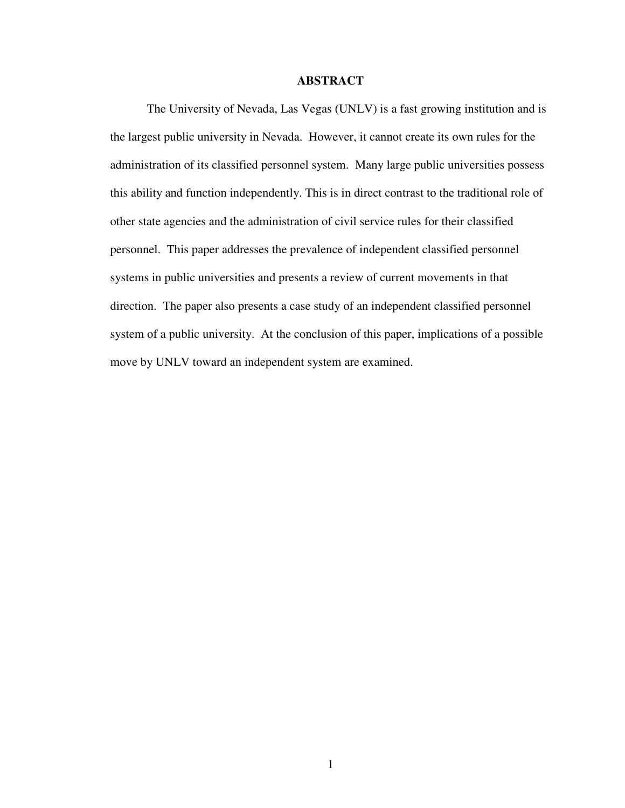### **ABSTRACT**

The University of Nevada, Las Vegas (UNLV) is a fast growing institution and is the largest public university in Nevada. However, it cannot create its own rules for the administration of its classified personnel system. Many large public universities possess this ability and function independently. This is in direct contrast to the traditional role of other state agencies and the administration of civil service rules for their classified personnel. This paper addresses the prevalence of independent classified personnel systems in public universities and presents a review of current movements in that direction. The paper also presents a case study of an independent classified personnel system of a public university. At the conclusion of this paper, implications of a possible move by UNLV toward an independent system are examined.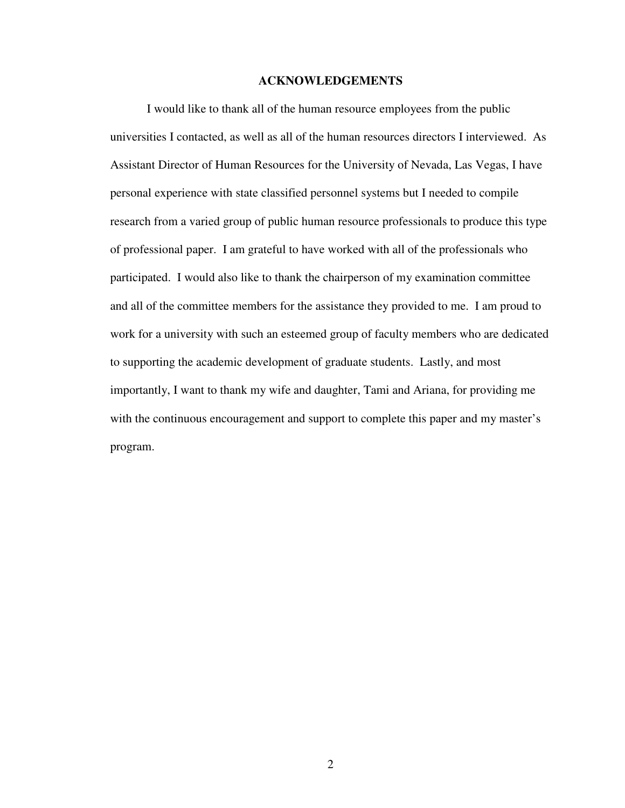#### **ACKNOWLEDGEMENTS**

I would like to thank all of the human resource employees from the public universities I contacted, as well as all of the human resources directors I interviewed. As Assistant Director of Human Resources for the University of Nevada, Las Vegas, I have personal experience with state classified personnel systems but I needed to compile research from a varied group of public human resource professionals to produce this type of professional paper. I am grateful to have worked with all of the professionals who participated. I would also like to thank the chairperson of my examination committee and all of the committee members for the assistance they provided to me. I am proud to work for a university with such an esteemed group of faculty members who are dedicated to supporting the academic development of graduate students. Lastly, and most importantly, I want to thank my wife and daughter, Tami and Ariana, for providing me with the continuous encouragement and support to complete this paper and my master's program.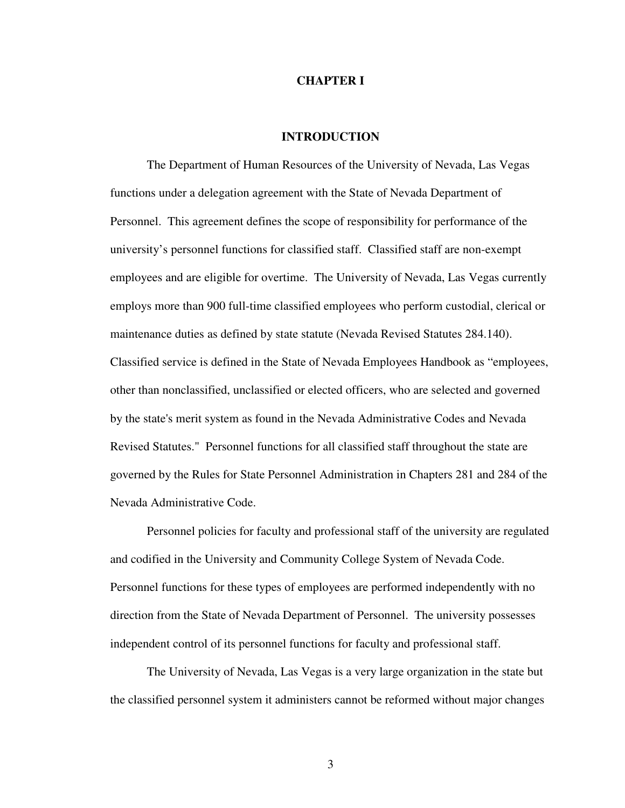#### **CHAPTER I**

#### **INTRODUCTION**

The Department of Human Resources of the University of Nevada, Las Vegas functions under a delegation agreement with the State of Nevada Department of Personnel. This agreement defines the scope of responsibility for performance of the university's personnel functions for classified staff. Classified staff are non-exempt employees and are eligible for overtime. The University of Nevada, Las Vegas currently employs more than 900 full-time classified employees who perform custodial, clerical or maintenance duties as defined by state statute (Nevada Revised Statutes 284.140). Classified service is defined in the State of Nevada Employees Handbook as "employees, other than nonclassified, unclassified or elected officers, who are selected and governed by the state's merit system as found in the Nevada Administrative Codes and Nevada Revised Statutes." Personnel functions for all classified staff throughout the state are governed by the Rules for State Personnel Administration in Chapters 281 and 284 of the Nevada Administrative Code.

Personnel policies for faculty and professional staff of the university are regulated and codified in the University and Community College System of Nevada Code. Personnel functions for these types of employees are performed independently with no direction from the State of Nevada Department of Personnel. The university possesses independent control of its personnel functions for faculty and professional staff.

The University of Nevada, Las Vegas is a very large organization in the state but the classified personnel system it administers cannot be reformed without major changes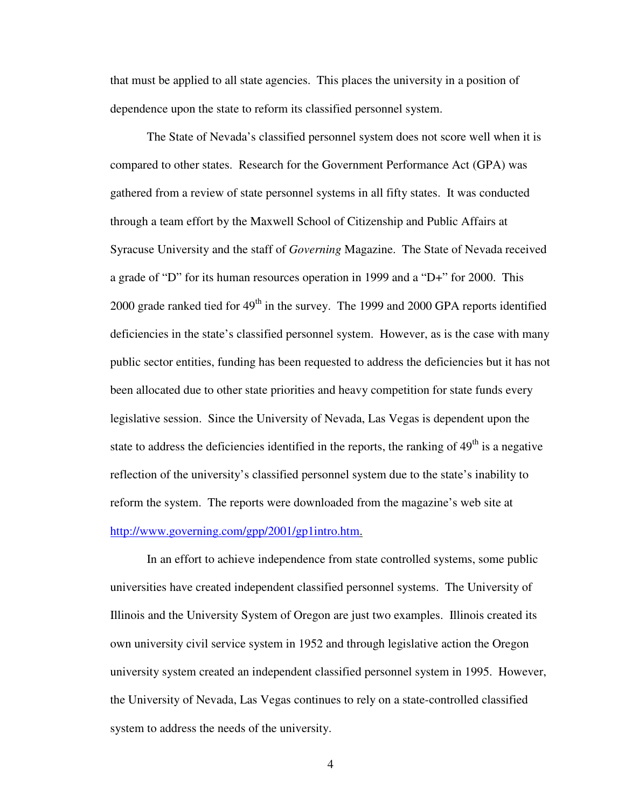that must be applied to all state agencies. This places the university in a position of dependence upon the state to reform its classified personnel system.

The State of Nevada's classified personnel system does not score well when it is compared to other states. Research for the Government Performance Act (GPA) was gathered from a review of state personnel systems in all fifty states. It was conducted through a team effort by the Maxwell School of Citizenship and Public Affairs at Syracuse University and the staff of *Governing* Magazine. The State of Nevada received a grade of "D" for its human resources operation in 1999 and a "D+" for 2000. This 2000 grade ranked tied for  $49<sup>th</sup>$  in the survey. The 1999 and 2000 GPA reports identified deficiencies in the state's classified personnel system. However, as is the case with many public sector entities, funding has been requested to address the deficiencies but it has not been allocated due to other state priorities and heavy competition for state funds every legislative session. Since the University of Nevada, Las Vegas is dependent upon the state to address the deficiencies identified in the reports, the ranking of  $49<sup>th</sup>$  is a negative reflection of the university's classified personnel system due to the state's inability to reform the system. The reports were downloaded from the magazine's web site at http://www.governing.com/gpp/2001/gp1intro.htm.

In an effort to achieve independence from state controlled systems, some public universities have created independent classified personnel systems. The University of Illinois and the University System of Oregon are just two examples. Illinois created its own university civil service system in 1952 and through legislative action the Oregon university system created an independent classified personnel system in 1995. However, the University of Nevada, Las Vegas continues to rely on a state-controlled classified system to address the needs of the university.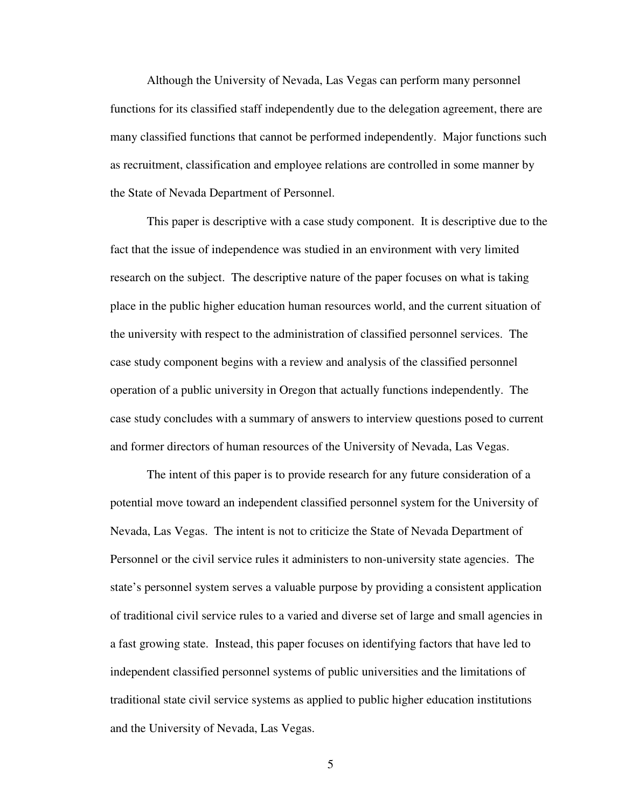Although the University of Nevada, Las Vegas can perform many personnel functions for its classified staff independently due to the delegation agreement, there are many classified functions that cannot be performed independently. Major functions such as recruitment, classification and employee relations are controlled in some manner by the State of Nevada Department of Personnel.

This paper is descriptive with a case study component. It is descriptive due to the fact that the issue of independence was studied in an environment with very limited research on the subject. The descriptive nature of the paper focuses on what is taking place in the public higher education human resources world, and the current situation of the university with respect to the administration of classified personnel services. The case study component begins with a review and analysis of the classified personnel operation of a public university in Oregon that actually functions independently. The case study concludes with a summary of answers to interview questions posed to current and former directors of human resources of the University of Nevada, Las Vegas.

The intent of this paper is to provide research for any future consideration of a potential move toward an independent classified personnel system for the University of Nevada, Las Vegas. The intent is not to criticize the State of Nevada Department of Personnel or the civil service rules it administers to non-university state agencies. The state's personnel system serves a valuable purpose by providing a consistent application of traditional civil service rules to a varied and diverse set of large and small agencies in a fast growing state. Instead, this paper focuses on identifying factors that have led to independent classified personnel systems of public universities and the limitations of traditional state civil service systems as applied to public higher education institutions and the University of Nevada, Las Vegas.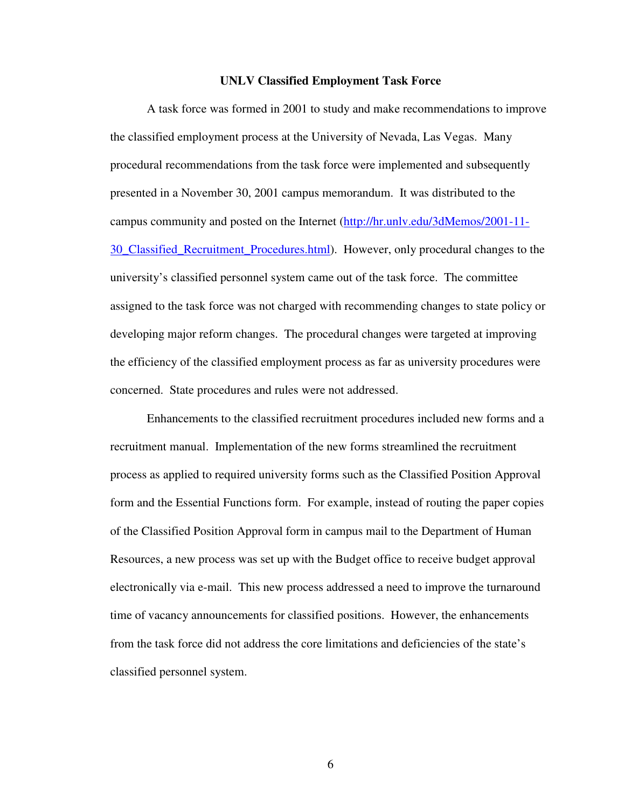#### **UNLV Classified Employment Task Force**

 A task force was formed in 2001 to study and make recommendations to improve the classified employment process at the University of Nevada, Las Vegas. Many procedural recommendations from the task force were implemented and subsequently presented in a November 30, 2001 campus memorandum. It was distributed to the campus community and posted on the Internet (http://hr.unlv.edu/3dMemos/2001-11- 30\_Classified\_Recruitment\_Procedures.html). However, only procedural changes to the university's classified personnel system came out of the task force. The committee assigned to the task force was not charged with recommending changes to state policy or developing major reform changes. The procedural changes were targeted at improving the efficiency of the classified employment process as far as university procedures were concerned. State procedures and rules were not addressed.

 Enhancements to the classified recruitment procedures included new forms and a recruitment manual. Implementation of the new forms streamlined the recruitment process as applied to required university forms such as the Classified Position Approval form and the Essential Functions form. For example, instead of routing the paper copies of the Classified Position Approval form in campus mail to the Department of Human Resources, a new process was set up with the Budget office to receive budget approval electronically via e-mail. This new process addressed a need to improve the turnaround time of vacancy announcements for classified positions. However, the enhancements from the task force did not address the core limitations and deficiencies of the state's classified personnel system.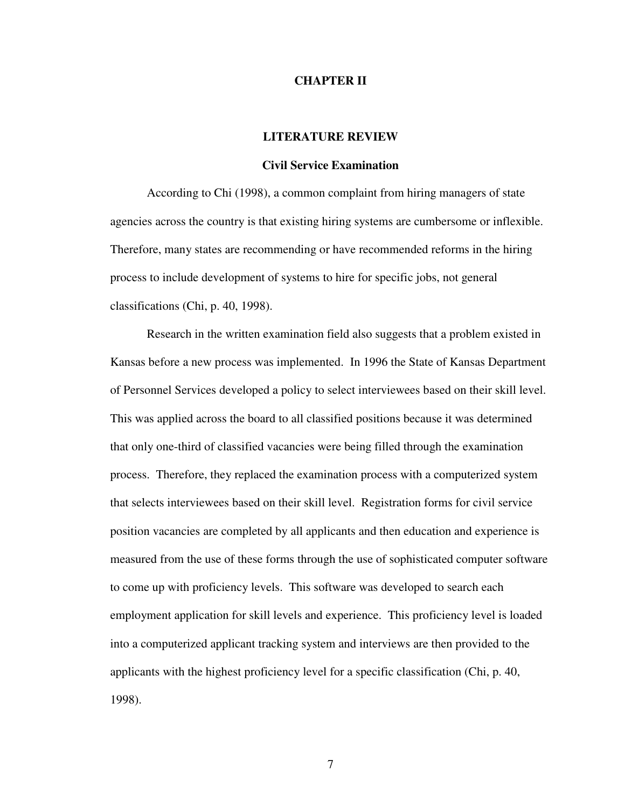#### **CHAPTER II**

#### **LITERATURE REVIEW**

#### **Civil Service Examination**

According to Chi (1998), a common complaint from hiring managers of state agencies across the country is that existing hiring systems are cumbersome or inflexible. Therefore, many states are recommending or have recommended reforms in the hiring process to include development of systems to hire for specific jobs, not general classifications (Chi, p. 40, 1998).

Research in the written examination field also suggests that a problem existed in Kansas before a new process was implemented. In 1996 the State of Kansas Department of Personnel Services developed a policy to select interviewees based on their skill level. This was applied across the board to all classified positions because it was determined that only one-third of classified vacancies were being filled through the examination process. Therefore, they replaced the examination process with a computerized system that selects interviewees based on their skill level. Registration forms for civil service position vacancies are completed by all applicants and then education and experience is measured from the use of these forms through the use of sophisticated computer software to come up with proficiency levels. This software was developed to search each employment application for skill levels and experience. This proficiency level is loaded into a computerized applicant tracking system and interviews are then provided to the applicants with the highest proficiency level for a specific classification (Chi, p. 40, 1998).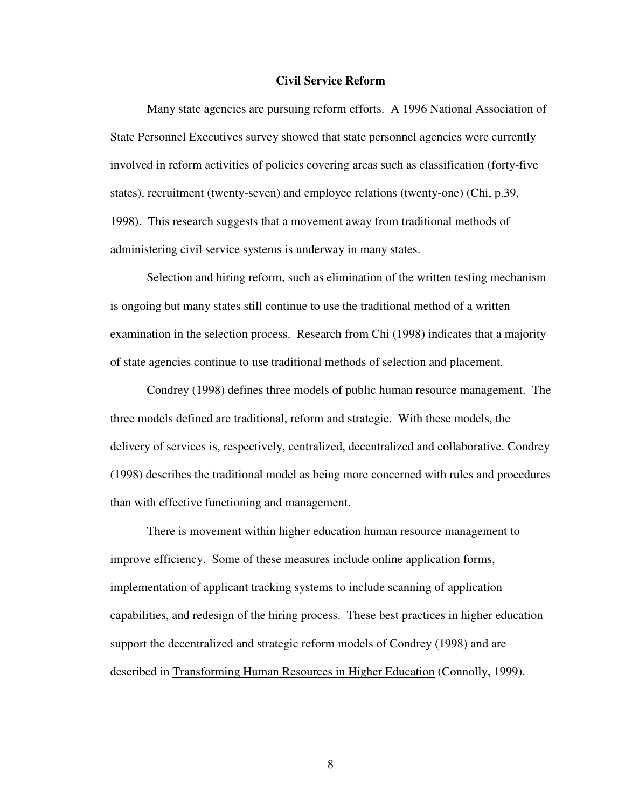#### **Civil Service Reform**

 Many state agencies are pursuing reform efforts. A 1996 National Association of State Personnel Executives survey showed that state personnel agencies were currently involved in reform activities of policies covering areas such as classification (forty-five states), recruitment (twenty-seven) and employee relations (twenty-one) (Chi, p.39, 1998). This research suggests that a movement away from traditional methods of administering civil service systems is underway in many states.

 Selection and hiring reform, such as elimination of the written testing mechanism is ongoing but many states still continue to use the traditional method of a written examination in the selection process. Research from Chi (1998) indicates that a majority of state agencies continue to use traditional methods of selection and placement.

Condrey (1998) defines three models of public human resource management. The three models defined are traditional, reform and strategic. With these models, the delivery of services is, respectively, centralized, decentralized and collaborative. Condrey (1998) describes the traditional model as being more concerned with rules and procedures than with effective functioning and management.

There is movement within higher education human resource management to improve efficiency. Some of these measures include online application forms, implementation of applicant tracking systems to include scanning of application capabilities, and redesign of the hiring process. These best practices in higher education support the decentralized and strategic reform models of Condrey (1998) and are described in Transforming Human Resources in Higher Education (Connolly, 1999).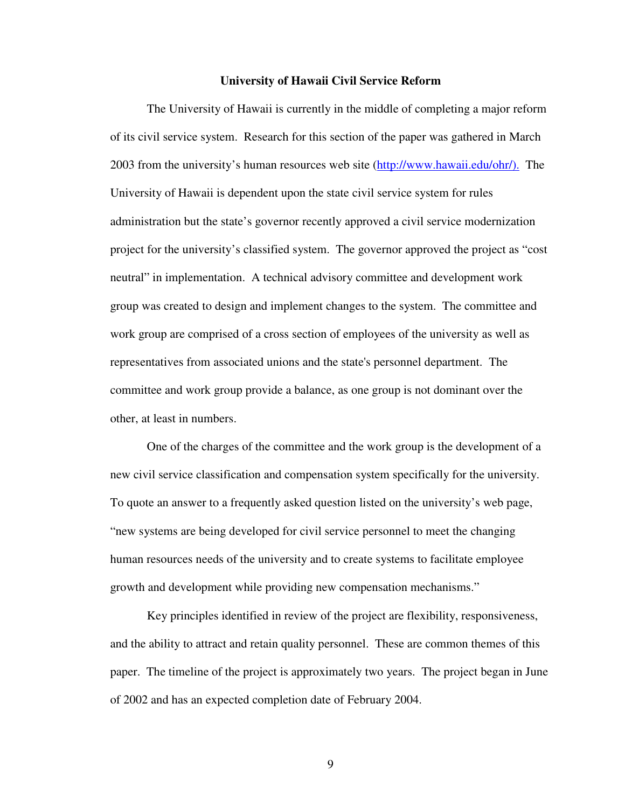#### **University of Hawaii Civil Service Reform**

The University of Hawaii is currently in the middle of completing a major reform of its civil service system. Research for this section of the paper was gathered in March 2003 from the university's human resources web site (http://www.hawaii.edu/ohr/). The University of Hawaii is dependent upon the state civil service system for rules administration but the state's governor recently approved a civil service modernization project for the university's classified system. The governor approved the project as "cost neutral" in implementation. A technical advisory committee and development work group was created to design and implement changes to the system. The committee and work group are comprised of a cross section of employees of the university as well as representatives from associated unions and the state's personnel department. The committee and work group provide a balance, as one group is not dominant over the other, at least in numbers.

One of the charges of the committee and the work group is the development of a new civil service classification and compensation system specifically for the university. To quote an answer to a frequently asked question listed on the university's web page, "new systems are being developed for civil service personnel to meet the changing human resources needs of the university and to create systems to facilitate employee growth and development while providing new compensation mechanisms."

 Key principles identified in review of the project are flexibility, responsiveness, and the ability to attract and retain quality personnel. These are common themes of this paper. The timeline of the project is approximately two years. The project began in June of 2002 and has an expected completion date of February 2004.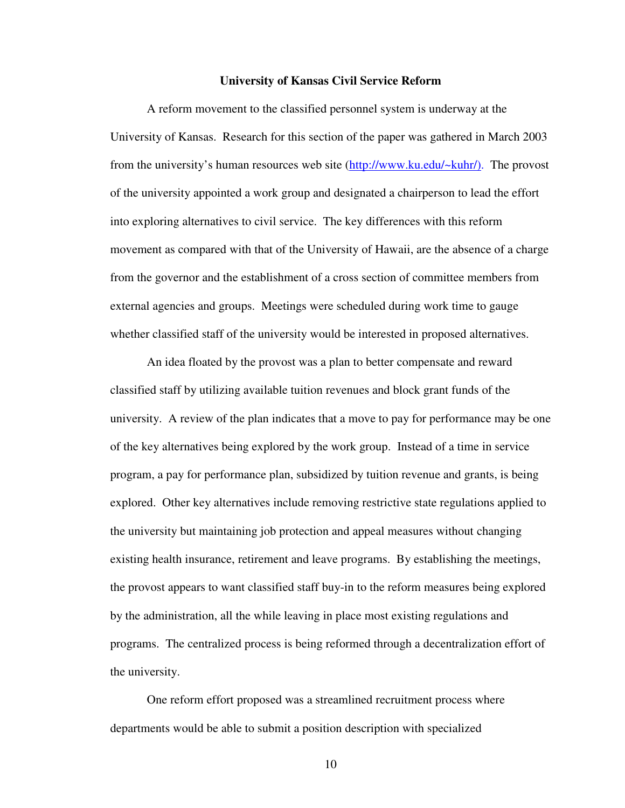#### **University of Kansas Civil Service Reform**

 A reform movement to the classified personnel system is underway at the University of Kansas. Research for this section of the paper was gathered in March 2003 from the university's human resources web site (http://www.ku.edu/~kuhr/). The provost of the university appointed a work group and designated a chairperson to lead the effort into exploring alternatives to civil service. The key differences with this reform movement as compared with that of the University of Hawaii, are the absence of a charge from the governor and the establishment of a cross section of committee members from external agencies and groups. Meetings were scheduled during work time to gauge whether classified staff of the university would be interested in proposed alternatives.

An idea floated by the provost was a plan to better compensate and reward classified staff by utilizing available tuition revenues and block grant funds of the university. A review of the plan indicates that a move to pay for performance may be one of the key alternatives being explored by the work group. Instead of a time in service program, a pay for performance plan, subsidized by tuition revenue and grants, is being explored. Other key alternatives include removing restrictive state regulations applied to the university but maintaining job protection and appeal measures without changing existing health insurance, retirement and leave programs. By establishing the meetings, the provost appears to want classified staff buy-in to the reform measures being explored by the administration, all the while leaving in place most existing regulations and programs. The centralized process is being reformed through a decentralization effort of the university.

 One reform effort proposed was a streamlined recruitment process where departments would be able to submit a position description with specialized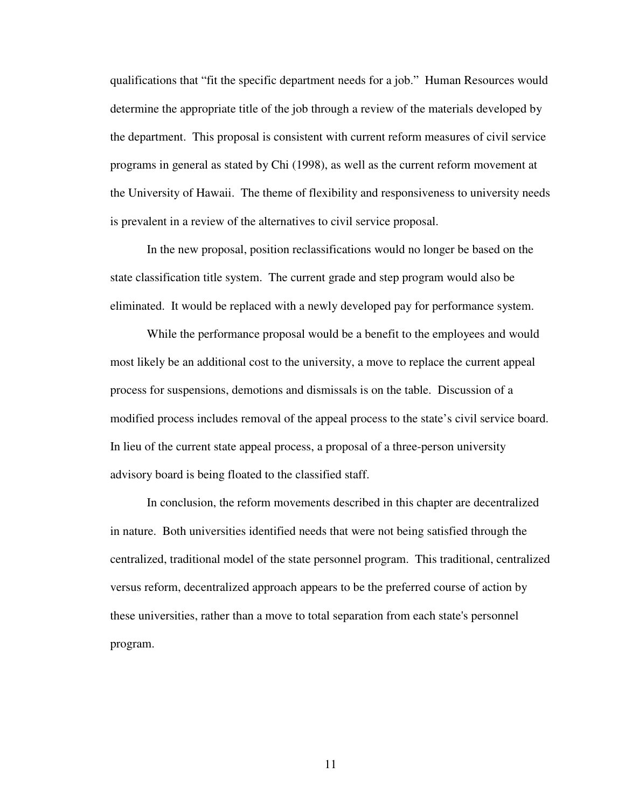qualifications that "fit the specific department needs for a job." Human Resources would determine the appropriate title of the job through a review of the materials developed by the department. This proposal is consistent with current reform measures of civil service programs in general as stated by Chi (1998), as well as the current reform movement at the University of Hawaii. The theme of flexibility and responsiveness to university needs is prevalent in a review of the alternatives to civil service proposal.

In the new proposal, position reclassifications would no longer be based on the state classification title system. The current grade and step program would also be eliminated. It would be replaced with a newly developed pay for performance system.

While the performance proposal would be a benefit to the employees and would most likely be an additional cost to the university, a move to replace the current appeal process for suspensions, demotions and dismissals is on the table. Discussion of a modified process includes removal of the appeal process to the state's civil service board. In lieu of the current state appeal process, a proposal of a three-person university advisory board is being floated to the classified staff.

 In conclusion, the reform movements described in this chapter are decentralized in nature. Both universities identified needs that were not being satisfied through the centralized, traditional model of the state personnel program. This traditional, centralized versus reform, decentralized approach appears to be the preferred course of action by these universities, rather than a move to total separation from each state's personnel program.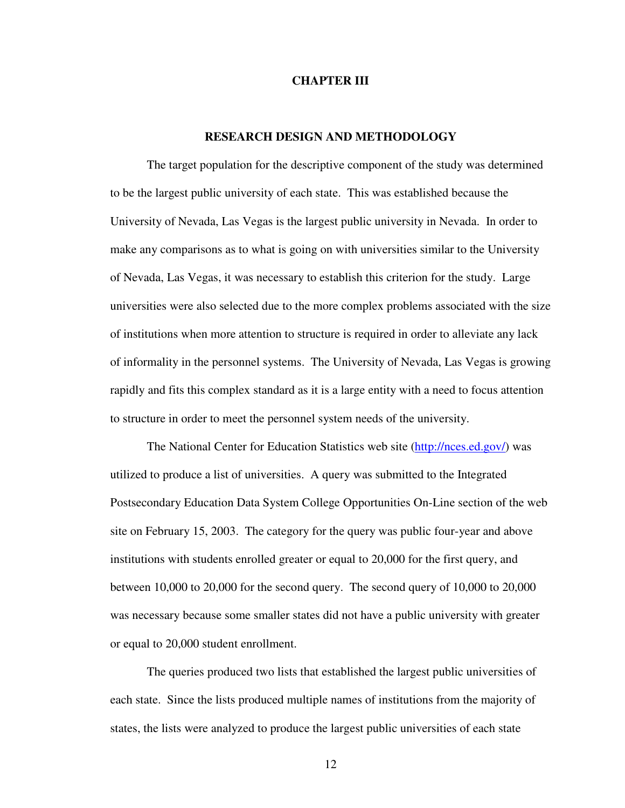#### **CHAPTER III**

#### **RESEARCH DESIGN AND METHODOLOGY**

The target population for the descriptive component of the study was determined to be the largest public university of each state. This was established because the University of Nevada, Las Vegas is the largest public university in Nevada. In order to make any comparisons as to what is going on with universities similar to the University of Nevada, Las Vegas, it was necessary to establish this criterion for the study. Large universities were also selected due to the more complex problems associated with the size of institutions when more attention to structure is required in order to alleviate any lack of informality in the personnel systems. The University of Nevada, Las Vegas is growing rapidly and fits this complex standard as it is a large entity with a need to focus attention to structure in order to meet the personnel system needs of the university.

The National Center for Education Statistics web site (http://nces.ed.gov/) was utilized to produce a list of universities. A query was submitted to the Integrated Postsecondary Education Data System College Opportunities On-Line section of the web site on February 15, 2003. The category for the query was public four-year and above institutions with students enrolled greater or equal to 20,000 for the first query, and between 10,000 to 20,000 for the second query. The second query of 10,000 to 20,000 was necessary because some smaller states did not have a public university with greater or equal to 20,000 student enrollment.

The queries produced two lists that established the largest public universities of each state. Since the lists produced multiple names of institutions from the majority of states, the lists were analyzed to produce the largest public universities of each state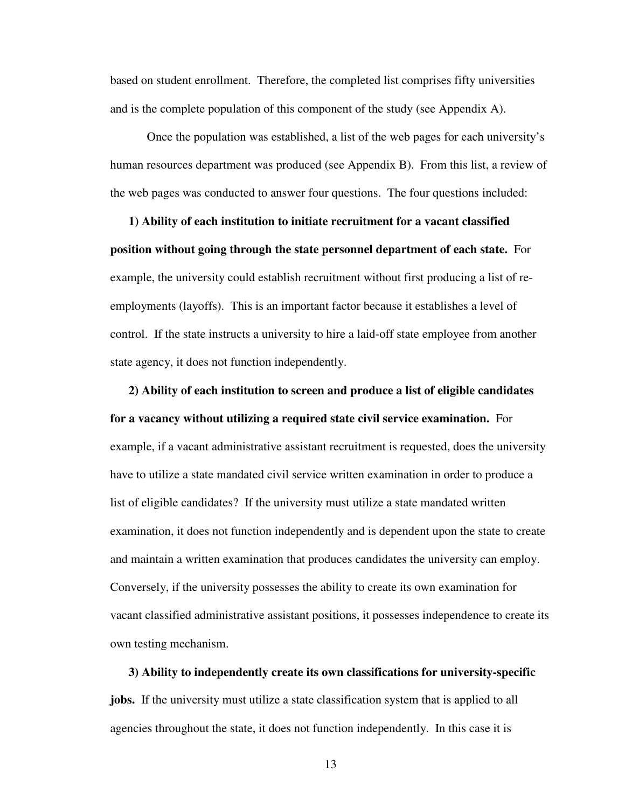based on student enrollment. Therefore, the completed list comprises fifty universities and is the complete population of this component of the study (see Appendix A).

 Once the population was established, a list of the web pages for each university's human resources department was produced (see Appendix B). From this list, a review of the web pages was conducted to answer four questions. The four questions included:

**1) Ability of each institution to initiate recruitment for a vacant classified position without going through the state personnel department of each state.** For example, the university could establish recruitment without first producing a list of reemployments (layoffs). This is an important factor because it establishes a level of control. If the state instructs a university to hire a laid-off state employee from another state agency, it does not function independently.

**2) Ability of each institution to screen and produce a list of eligible candidates for a vacancy without utilizing a required state civil service examination.** For example, if a vacant administrative assistant recruitment is requested, does the university have to utilize a state mandated civil service written examination in order to produce a list of eligible candidates? If the university must utilize a state mandated written examination, it does not function independently and is dependent upon the state to create and maintain a written examination that produces candidates the university can employ. Conversely, if the university possesses the ability to create its own examination for vacant classified administrative assistant positions, it possesses independence to create its own testing mechanism.

**3) Ability to independently create its own classifications for university-specific jobs.** If the university must utilize a state classification system that is applied to all agencies throughout the state, it does not function independently. In this case it is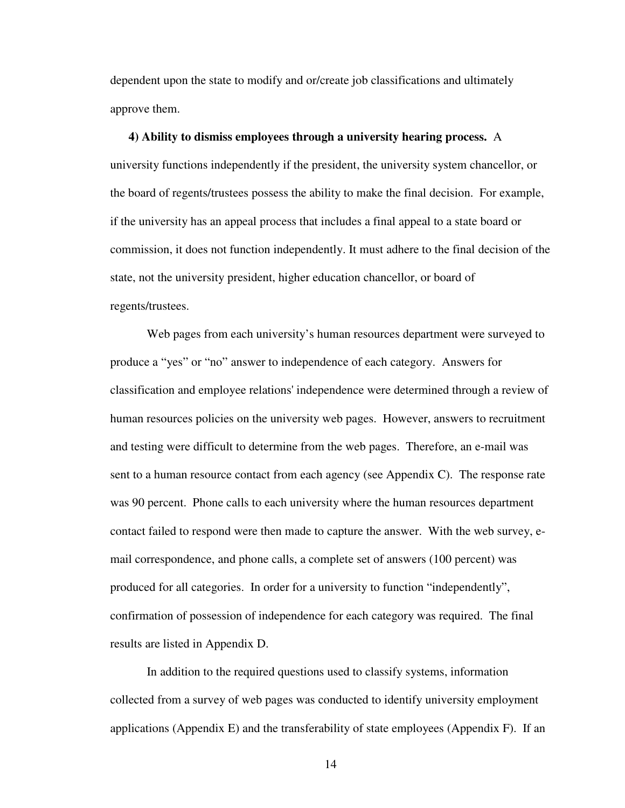dependent upon the state to modify and or/create job classifications and ultimately approve them.

**4) Ability to dismiss employees through a university hearing process.** A university functions independently if the president, the university system chancellor, or the board of regents/trustees possess the ability to make the final decision. For example, if the university has an appeal process that includes a final appeal to a state board or commission, it does not function independently. It must adhere to the final decision of the state, not the university president, higher education chancellor, or board of regents/trustees.

Web pages from each university's human resources department were surveyed to produce a "yes" or "no" answer to independence of each category. Answers for classification and employee relations' independence were determined through a review of human resources policies on the university web pages. However, answers to recruitment and testing were difficult to determine from the web pages. Therefore, an e-mail was sent to a human resource contact from each agency (see Appendix C). The response rate was 90 percent. Phone calls to each university where the human resources department contact failed to respond were then made to capture the answer. With the web survey, email correspondence, and phone calls, a complete set of answers (100 percent) was produced for all categories. In order for a university to function "independently", confirmation of possession of independence for each category was required. The final results are listed in Appendix D.

In addition to the required questions used to classify systems, information collected from a survey of web pages was conducted to identify university employment applications (Appendix E) and the transferability of state employees (Appendix F). If an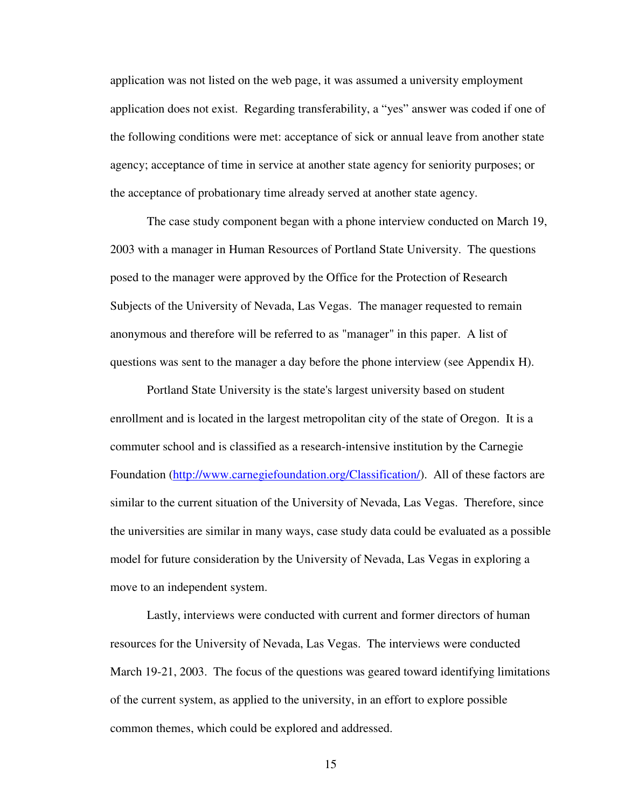application was not listed on the web page, it was assumed a university employment application does not exist. Regarding transferability, a "yes" answer was coded if one of the following conditions were met: acceptance of sick or annual leave from another state agency; acceptance of time in service at another state agency for seniority purposes; or the acceptance of probationary time already served at another state agency.

The case study component began with a phone interview conducted on March 19, 2003 with a manager in Human Resources of Portland State University. The questions posed to the manager were approved by the Office for the Protection of Research Subjects of the University of Nevada, Las Vegas. The manager requested to remain anonymous and therefore will be referred to as "manager" in this paper. A list of questions was sent to the manager a day before the phone interview (see Appendix H).

Portland State University is the state's largest university based on student enrollment and is located in the largest metropolitan city of the state of Oregon. It is a commuter school and is classified as a research-intensive institution by the Carnegie Foundation (http://www.carnegiefoundation.org/Classification/). All of these factors are similar to the current situation of the University of Nevada, Las Vegas. Therefore, since the universities are similar in many ways, case study data could be evaluated as a possible model for future consideration by the University of Nevada, Las Vegas in exploring a move to an independent system.

Lastly, interviews were conducted with current and former directors of human resources for the University of Nevada, Las Vegas. The interviews were conducted March 19-21, 2003. The focus of the questions was geared toward identifying limitations of the current system, as applied to the university, in an effort to explore possible common themes, which could be explored and addressed.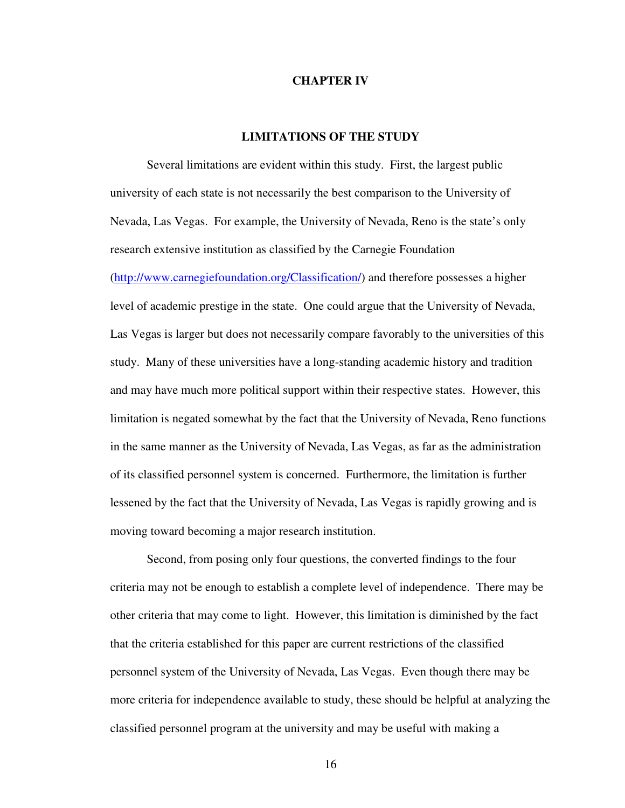#### **CHAPTER IV**

### **LIMITATIONS OF THE STUDY**

 Several limitations are evident within this study. First, the largest public university of each state is not necessarily the best comparison to the University of Nevada, Las Vegas. For example, the University of Nevada, Reno is the state's only research extensive institution as classified by the Carnegie Foundation (http://www.carnegiefoundation.org/Classification/) and therefore possesses a higher level of academic prestige in the state. One could argue that the University of Nevada, Las Vegas is larger but does not necessarily compare favorably to the universities of this study. Many of these universities have a long-standing academic history and tradition and may have much more political support within their respective states. However, this limitation is negated somewhat by the fact that the University of Nevada, Reno functions in the same manner as the University of Nevada, Las Vegas, as far as the administration of its classified personnel system is concerned. Furthermore, the limitation is further lessened by the fact that the University of Nevada, Las Vegas is rapidly growing and is moving toward becoming a major research institution.

Second, from posing only four questions, the converted findings to the four criteria may not be enough to establish a complete level of independence. There may be other criteria that may come to light. However, this limitation is diminished by the fact that the criteria established for this paper are current restrictions of the classified personnel system of the University of Nevada, Las Vegas. Even though there may be more criteria for independence available to study, these should be helpful at analyzing the classified personnel program at the university and may be useful with making a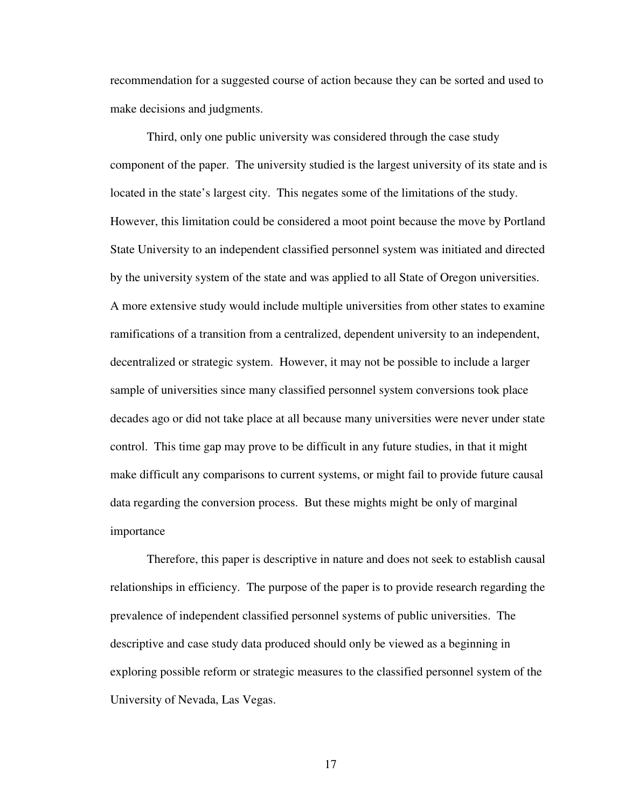recommendation for a suggested course of action because they can be sorted and used to make decisions and judgments.

 Third, only one public university was considered through the case study component of the paper. The university studied is the largest university of its state and is located in the state's largest city. This negates some of the limitations of the study. However, this limitation could be considered a moot point because the move by Portland State University to an independent classified personnel system was initiated and directed by the university system of the state and was applied to all State of Oregon universities. A more extensive study would include multiple universities from other states to examine ramifications of a transition from a centralized, dependent university to an independent, decentralized or strategic system. However, it may not be possible to include a larger sample of universities since many classified personnel system conversions took place decades ago or did not take place at all because many universities were never under state control. This time gap may prove to be difficult in any future studies, in that it might make difficult any comparisons to current systems, or might fail to provide future causal data regarding the conversion process. But these mights might be only of marginal importance

Therefore, this paper is descriptive in nature and does not seek to establish causal relationships in efficiency. The purpose of the paper is to provide research regarding the prevalence of independent classified personnel systems of public universities. The descriptive and case study data produced should only be viewed as a beginning in exploring possible reform or strategic measures to the classified personnel system of the University of Nevada, Las Vegas.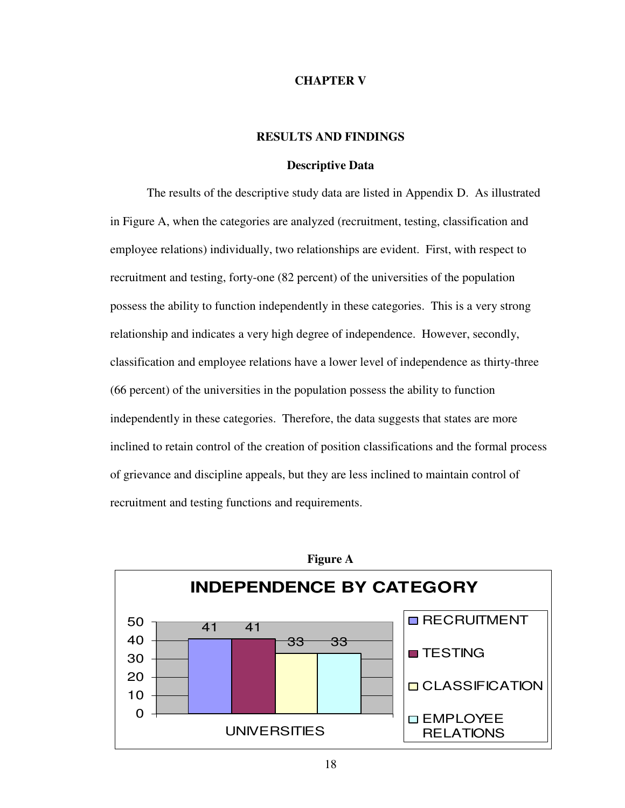#### **CHAPTER V**

## **RESULTS AND FINDINGS**

#### **Descriptive Data**

The results of the descriptive study data are listed in Appendix D. As illustrated in Figure A, when the categories are analyzed (recruitment, testing, classification and employee relations) individually, two relationships are evident. First, with respect to recruitment and testing, forty-one (82 percent) of the universities of the population possess the ability to function independently in these categories. This is a very strong relationship and indicates a very high degree of independence. However, secondly, classification and employee relations have a lower level of independence as thirty-three (66 percent) of the universities in the population possess the ability to function independently in these categories. Therefore, the data suggests that states are more inclined to retain control of the creation of position classifications and the formal process of grievance and discipline appeals, but they are less inclined to maintain control of recruitment and testing functions and requirements.

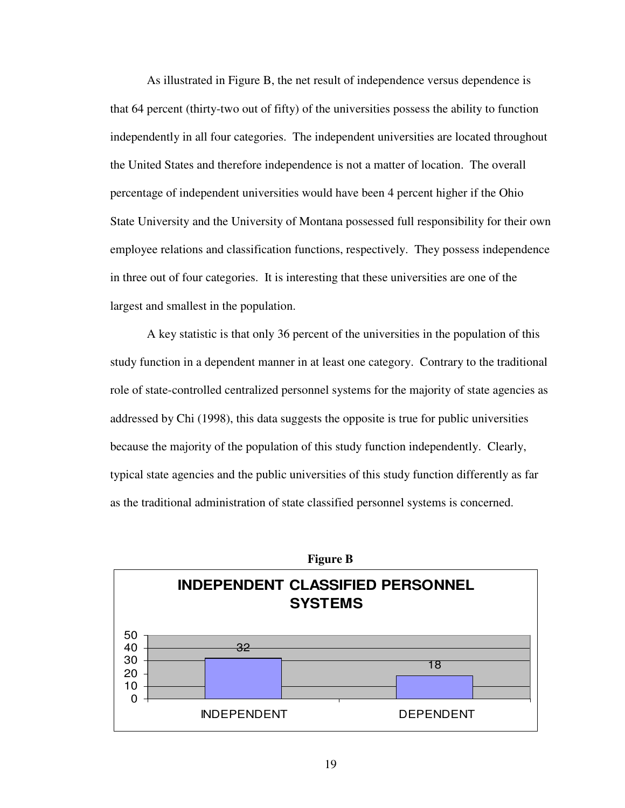As illustrated in Figure B, the net result of independence versus dependence is that 64 percent (thirty-two out of fifty) of the universities possess the ability to function independently in all four categories. The independent universities are located throughout the United States and therefore independence is not a matter of location. The overall percentage of independent universities would have been 4 percent higher if the Ohio State University and the University of Montana possessed full responsibility for their own employee relations and classification functions, respectively. They possess independence in three out of four categories. It is interesting that these universities are one of the largest and smallest in the population.

A key statistic is that only 36 percent of the universities in the population of this study function in a dependent manner in at least one category. Contrary to the traditional role of state-controlled centralized personnel systems for the majority of state agencies as addressed by Chi (1998), this data suggests the opposite is true for public universities because the majority of the population of this study function independently. Clearly, typical state agencies and the public universities of this study function differently as far as the traditional administration of state classified personnel systems is concerned.

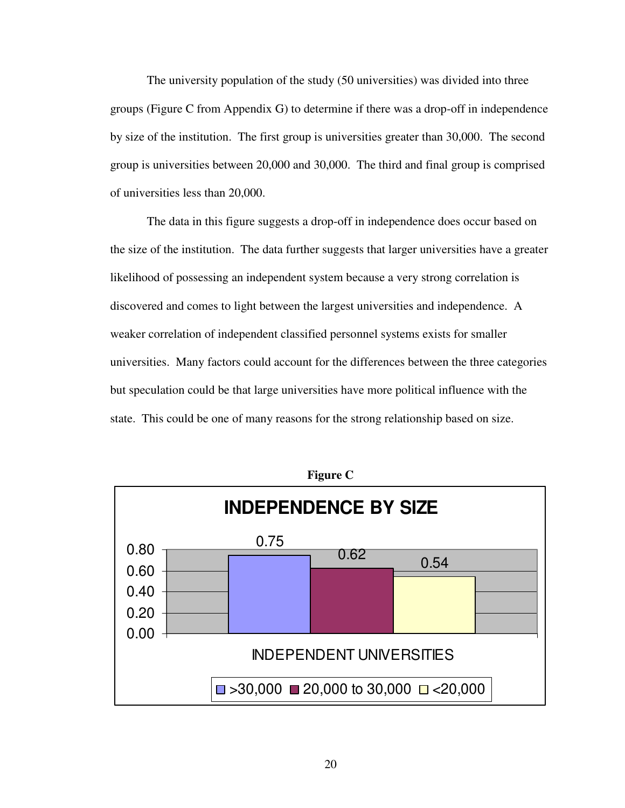The university population of the study (50 universities) was divided into three groups (Figure C from Appendix G) to determine if there was a drop-off in independence by size of the institution. The first group is universities greater than 30,000. The second group is universities between 20,000 and 30,000. The third and final group is comprised of universities less than 20,000.

The data in this figure suggests a drop-off in independence does occur based on the size of the institution. The data further suggests that larger universities have a greater likelihood of possessing an independent system because a very strong correlation is discovered and comes to light between the largest universities and independence. A weaker correlation of independent classified personnel systems exists for smaller universities. Many factors could account for the differences between the three categories but speculation could be that large universities have more political influence with the state. This could be one of many reasons for the strong relationship based on size.



**Figure C**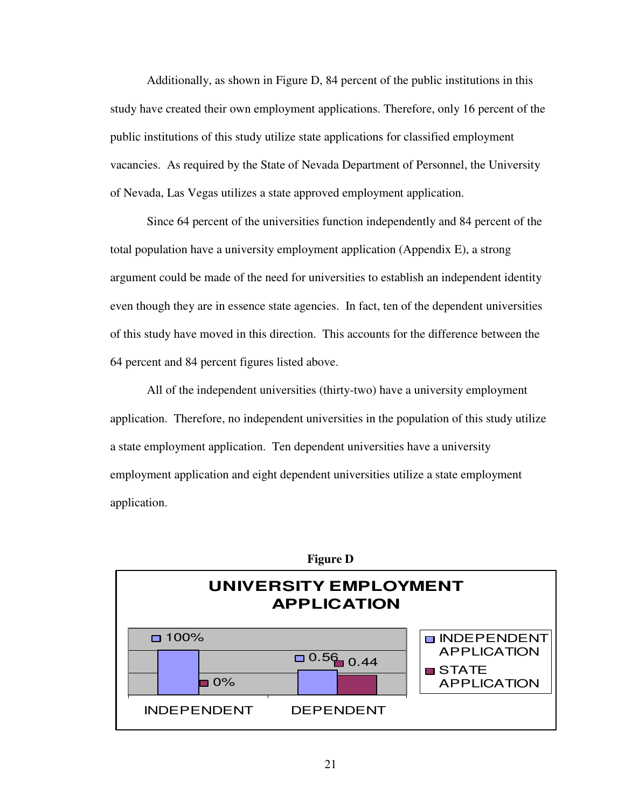Additionally, as shown in Figure D, 84 percent of the public institutions in this study have created their own employment applications. Therefore, only 16 percent of the public institutions of this study utilize state applications for classified employment vacancies. As required by the State of Nevada Department of Personnel, the University of Nevada, Las Vegas utilizes a state approved employment application.

Since 64 percent of the universities function independently and 84 percent of the total population have a university employment application (Appendix E), a strong argument could be made of the need for universities to establish an independent identity even though they are in essence state agencies. In fact, ten of the dependent universities of this study have moved in this direction. This accounts for the difference between the 64 percent and 84 percent figures listed above.

 All of the independent universities (thirty-two) have a university employment application. Therefore, no independent universities in the population of this study utilize a state employment application. Ten dependent universities have a university employment application and eight dependent universities utilize a state employment application.

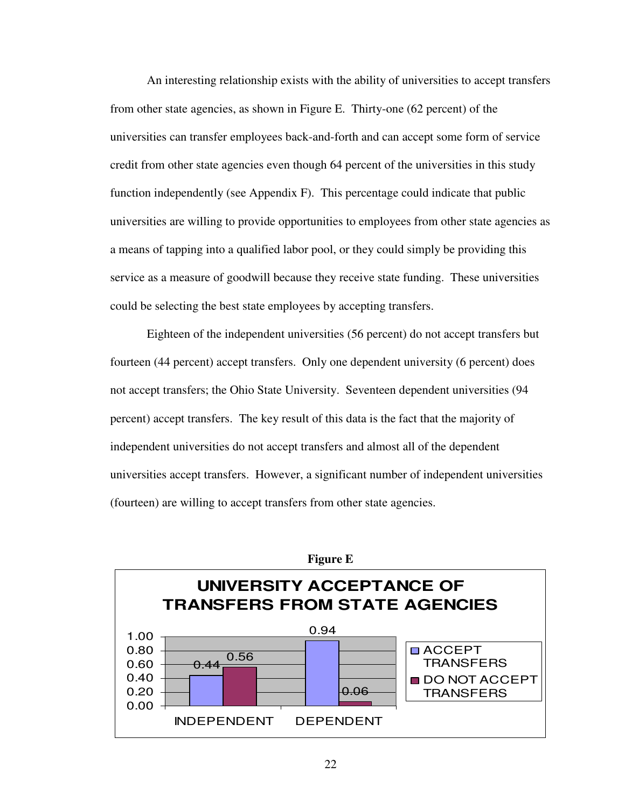An interesting relationship exists with the ability of universities to accept transfers from other state agencies, as shown in Figure E. Thirty-one (62 percent) of the universities can transfer employees back-and-forth and can accept some form of service credit from other state agencies even though 64 percent of the universities in this study function independently (see Appendix F). This percentage could indicate that public universities are willing to provide opportunities to employees from other state agencies as a means of tapping into a qualified labor pool, or they could simply be providing this service as a measure of goodwill because they receive state funding. These universities could be selecting the best state employees by accepting transfers.

Eighteen of the independent universities (56 percent) do not accept transfers but fourteen (44 percent) accept transfers. Only one dependent university (6 percent) does not accept transfers; the Ohio State University. Seventeen dependent universities (94 percent) accept transfers. The key result of this data is the fact that the majority of independent universities do not accept transfers and almost all of the dependent universities accept transfers. However, a significant number of independent universities (fourteen) are willing to accept transfers from other state agencies.



**Figure E**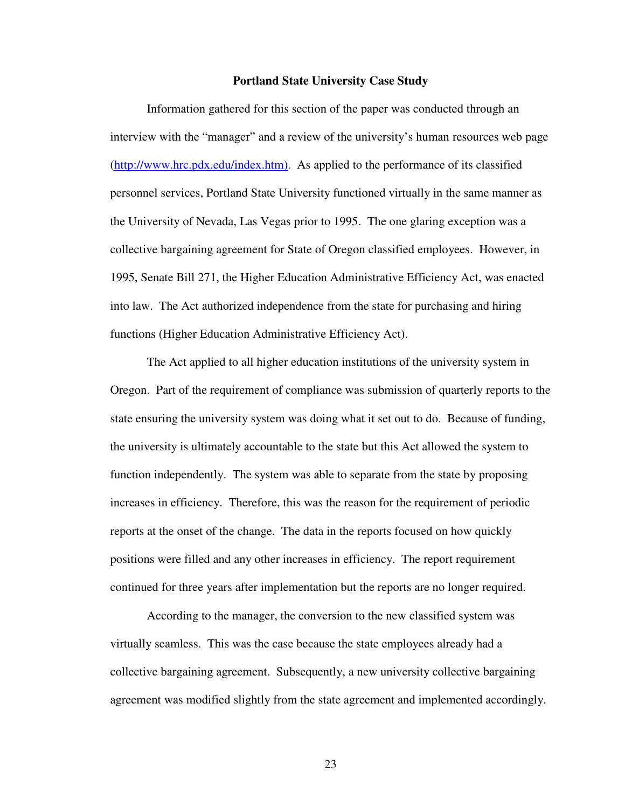#### **Portland State University Case Study**

Information gathered for this section of the paper was conducted through an interview with the "manager" and a review of the university's human resources web page (http://www.hrc.pdx.edu/index.htm). As applied to the performance of its classified personnel services, Portland State University functioned virtually in the same manner as the University of Nevada, Las Vegas prior to 1995. The one glaring exception was a collective bargaining agreement for State of Oregon classified employees. However, in 1995, Senate Bill 271, the Higher Education Administrative Efficiency Act, was enacted into law. The Act authorized independence from the state for purchasing and hiring functions (Higher Education Administrative Efficiency Act).

The Act applied to all higher education institutions of the university system in Oregon. Part of the requirement of compliance was submission of quarterly reports to the state ensuring the university system was doing what it set out to do. Because of funding, the university is ultimately accountable to the state but this Act allowed the system to function independently. The system was able to separate from the state by proposing increases in efficiency. Therefore, this was the reason for the requirement of periodic reports at the onset of the change. The data in the reports focused on how quickly positions were filled and any other increases in efficiency. The report requirement continued for three years after implementation but the reports are no longer required.

 According to the manager, the conversion to the new classified system was virtually seamless. This was the case because the state employees already had a collective bargaining agreement. Subsequently, a new university collective bargaining agreement was modified slightly from the state agreement and implemented accordingly.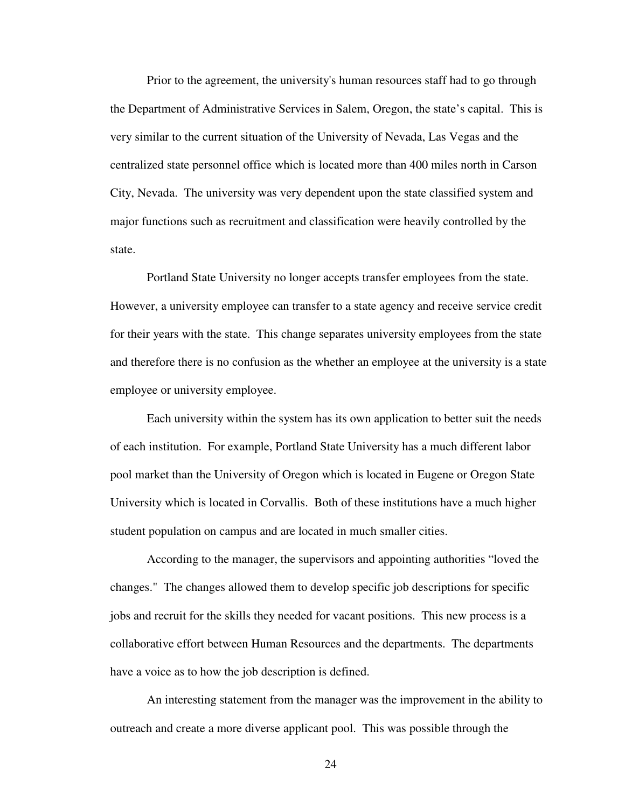Prior to the agreement, the university's human resources staff had to go through the Department of Administrative Services in Salem, Oregon, the state's capital. This is very similar to the current situation of the University of Nevada, Las Vegas and the centralized state personnel office which is located more than 400 miles north in Carson City, Nevada. The university was very dependent upon the state classified system and major functions such as recruitment and classification were heavily controlled by the state.

Portland State University no longer accepts transfer employees from the state. However, a university employee can transfer to a state agency and receive service credit for their years with the state. This change separates university employees from the state and therefore there is no confusion as the whether an employee at the university is a state employee or university employee.

 Each university within the system has its own application to better suit the needs of each institution. For example, Portland State University has a much different labor pool market than the University of Oregon which is located in Eugene or Oregon State University which is located in Corvallis. Both of these institutions have a much higher student population on campus and are located in much smaller cities.

 According to the manager, the supervisors and appointing authorities "loved the changes." The changes allowed them to develop specific job descriptions for specific jobs and recruit for the skills they needed for vacant positions. This new process is a collaborative effort between Human Resources and the departments. The departments have a voice as to how the job description is defined.

An interesting statement from the manager was the improvement in the ability to outreach and create a more diverse applicant pool. This was possible through the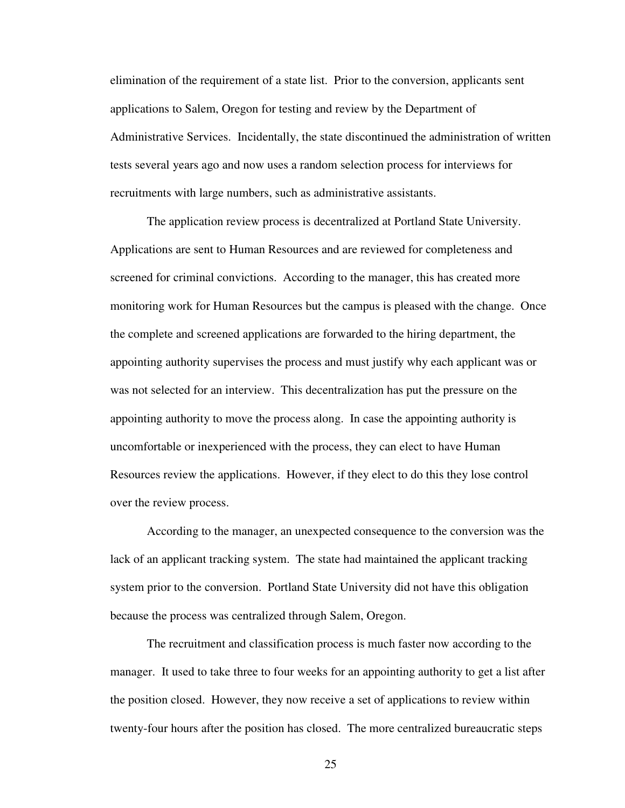elimination of the requirement of a state list. Prior to the conversion, applicants sent applications to Salem, Oregon for testing and review by the Department of Administrative Services. Incidentally, the state discontinued the administration of written tests several years ago and now uses a random selection process for interviews for recruitments with large numbers, such as administrative assistants.

 The application review process is decentralized at Portland State University. Applications are sent to Human Resources and are reviewed for completeness and screened for criminal convictions. According to the manager, this has created more monitoring work for Human Resources but the campus is pleased with the change. Once the complete and screened applications are forwarded to the hiring department, the appointing authority supervises the process and must justify why each applicant was or was not selected for an interview. This decentralization has put the pressure on the appointing authority to move the process along. In case the appointing authority is uncomfortable or inexperienced with the process, they can elect to have Human Resources review the applications. However, if they elect to do this they lose control over the review process.

 According to the manager, an unexpected consequence to the conversion was the lack of an applicant tracking system. The state had maintained the applicant tracking system prior to the conversion. Portland State University did not have this obligation because the process was centralized through Salem, Oregon.

 The recruitment and classification process is much faster now according to the manager. It used to take three to four weeks for an appointing authority to get a list after the position closed. However, they now receive a set of applications to review within twenty-four hours after the position has closed. The more centralized bureaucratic steps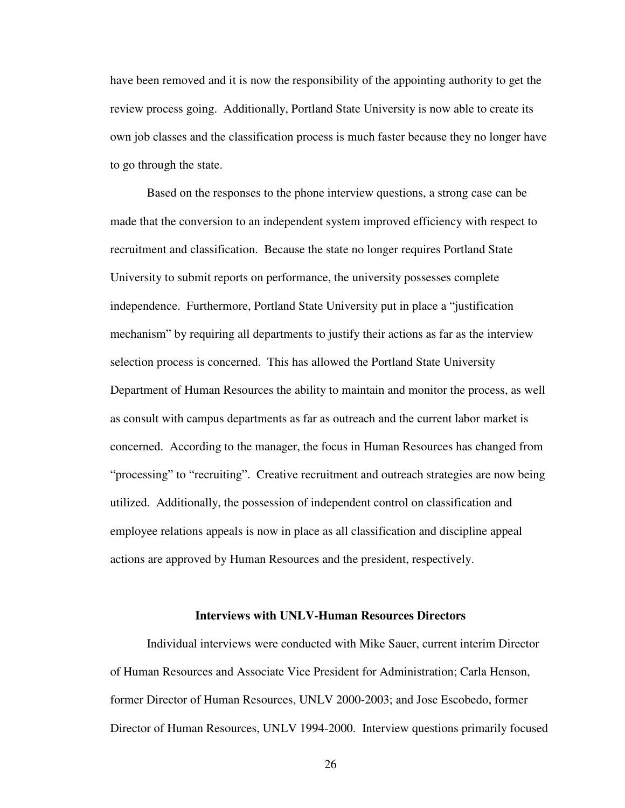have been removed and it is now the responsibility of the appointing authority to get the review process going. Additionally, Portland State University is now able to create its own job classes and the classification process is much faster because they no longer have to go through the state.

Based on the responses to the phone interview questions, a strong case can be made that the conversion to an independent system improved efficiency with respect to recruitment and classification. Because the state no longer requires Portland State University to submit reports on performance, the university possesses complete independence. Furthermore, Portland State University put in place a "justification mechanism" by requiring all departments to justify their actions as far as the interview selection process is concerned. This has allowed the Portland State University Department of Human Resources the ability to maintain and monitor the process, as well as consult with campus departments as far as outreach and the current labor market is concerned. According to the manager, the focus in Human Resources has changed from "processing" to "recruiting". Creative recruitment and outreach strategies are now being utilized. Additionally, the possession of independent control on classification and employee relations appeals is now in place as all classification and discipline appeal actions are approved by Human Resources and the president, respectively.

#### **Interviews with UNLV-Human Resources Directors**

Individual interviews were conducted with Mike Sauer, current interim Director of Human Resources and Associate Vice President for Administration; Carla Henson, former Director of Human Resources, UNLV 2000-2003; and Jose Escobedo, former Director of Human Resources, UNLV 1994-2000. Interview questions primarily focused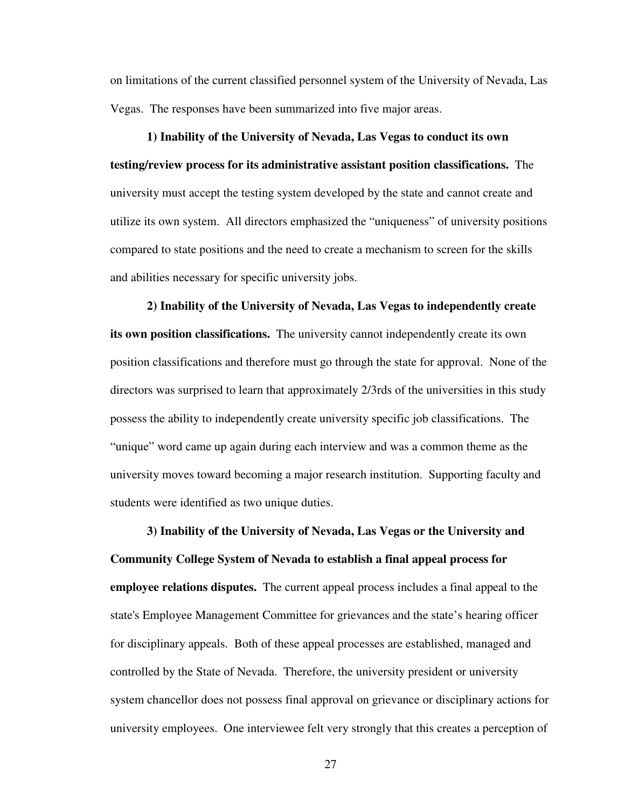on limitations of the current classified personnel system of the University of Nevada, Las Vegas. The responses have been summarized into five major areas.

**1) Inability of the University of Nevada, Las Vegas to conduct its own testing/review process for its administrative assistant position classifications.** The university must accept the testing system developed by the state and cannot create and utilize its own system. All directors emphasized the "uniqueness" of university positions compared to state positions and the need to create a mechanism to screen for the skills and abilities necessary for specific university jobs.

**2) Inability of the University of Nevada, Las Vegas to independently create its own position classifications.** The university cannot independently create its own position classifications and therefore must go through the state for approval. None of the directors was surprised to learn that approximately 2/3rds of the universities in this study possess the ability to independently create university specific job classifications. The "unique" word came up again during each interview and was a common theme as the university moves toward becoming a major research institution. Supporting faculty and students were identified as two unique duties.

**3) Inability of the University of Nevada, Las Vegas or the University and Community College System of Nevada to establish a final appeal process for employee relations disputes.** The current appeal process includes a final appeal to the state's Employee Management Committee for grievances and the state's hearing officer for disciplinary appeals. Both of these appeal processes are established, managed and controlled by the State of Nevada. Therefore, the university president or university system chancellor does not possess final approval on grievance or disciplinary actions for university employees. One interviewee felt very strongly that this creates a perception of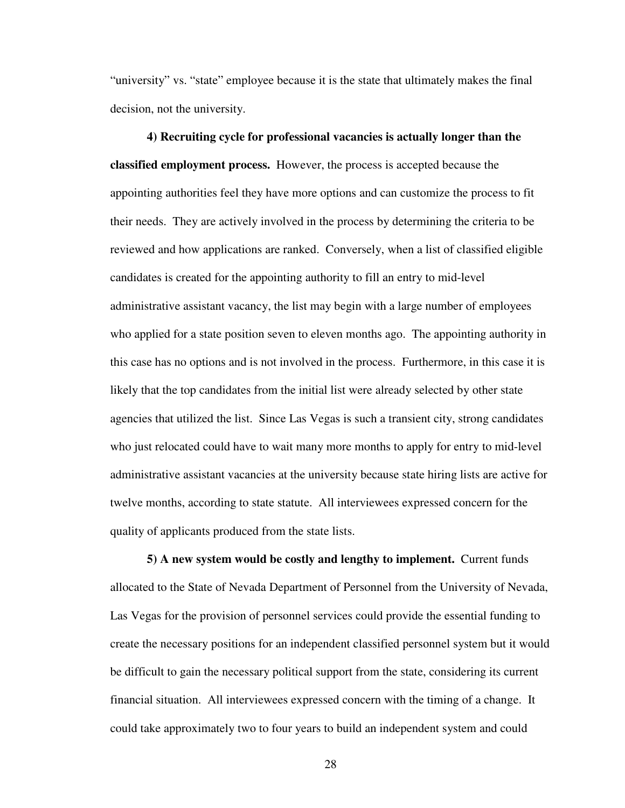"university" vs. "state" employee because it is the state that ultimately makes the final decision, not the university.

**4) Recruiting cycle for professional vacancies is actually longer than the classified employment process.** However, the process is accepted because the appointing authorities feel they have more options and can customize the process to fit their needs. They are actively involved in the process by determining the criteria to be reviewed and how applications are ranked. Conversely, when a list of classified eligible candidates is created for the appointing authority to fill an entry to mid-level administrative assistant vacancy, the list may begin with a large number of employees who applied for a state position seven to eleven months ago. The appointing authority in this case has no options and is not involved in the process. Furthermore, in this case it is likely that the top candidates from the initial list were already selected by other state agencies that utilized the list. Since Las Vegas is such a transient city, strong candidates who just relocated could have to wait many more months to apply for entry to mid-level administrative assistant vacancies at the university because state hiring lists are active for twelve months, according to state statute. All interviewees expressed concern for the quality of applicants produced from the state lists.

**5) A new system would be costly and lengthy to implement.** Current funds allocated to the State of Nevada Department of Personnel from the University of Nevada, Las Vegas for the provision of personnel services could provide the essential funding to create the necessary positions for an independent classified personnel system but it would be difficult to gain the necessary political support from the state, considering its current financial situation. All interviewees expressed concern with the timing of a change. It could take approximately two to four years to build an independent system and could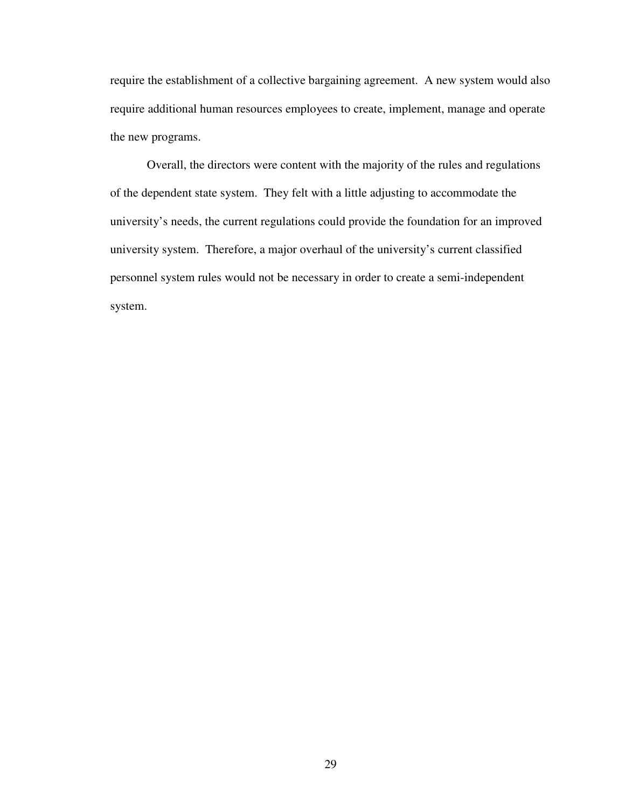require the establishment of a collective bargaining agreement. A new system would also require additional human resources employees to create, implement, manage and operate the new programs.

Overall, the directors were content with the majority of the rules and regulations of the dependent state system. They felt with a little adjusting to accommodate the university's needs, the current regulations could provide the foundation for an improved university system. Therefore, a major overhaul of the university's current classified personnel system rules would not be necessary in order to create a semi-independent system.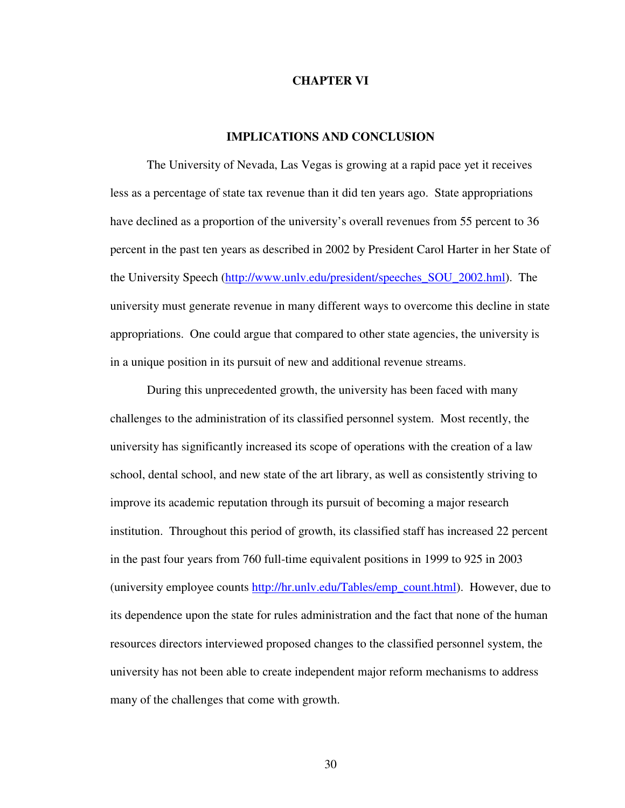#### **CHAPTER VI**

### **IMPLICATIONS AND CONCLUSION**

The University of Nevada, Las Vegas is growing at a rapid pace yet it receives less as a percentage of state tax revenue than it did ten years ago. State appropriations have declined as a proportion of the university's overall revenues from 55 percent to 36 percent in the past ten years as described in 2002 by President Carol Harter in her State of the University Speech (http://www.unlv.edu/president/speeches\_SOU\_2002.hml). The university must generate revenue in many different ways to overcome this decline in state appropriations. One could argue that compared to other state agencies, the university is in a unique position in its pursuit of new and additional revenue streams.

During this unprecedented growth, the university has been faced with many challenges to the administration of its classified personnel system. Most recently, the university has significantly increased its scope of operations with the creation of a law school, dental school, and new state of the art library, as well as consistently striving to improve its academic reputation through its pursuit of becoming a major research institution. Throughout this period of growth, its classified staff has increased 22 percent in the past four years from 760 full-time equivalent positions in 1999 to 925 in 2003 (university employee counts http://hr.unly.edu/Tables/emp\_count.html). However, due to its dependence upon the state for rules administration and the fact that none of the human resources directors interviewed proposed changes to the classified personnel system, the university has not been able to create independent major reform mechanisms to address many of the challenges that come with growth.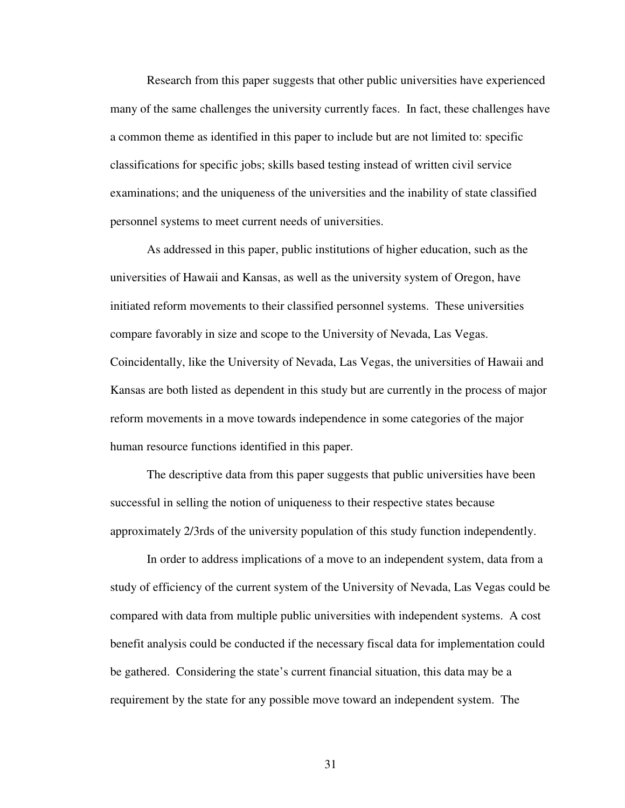Research from this paper suggests that other public universities have experienced many of the same challenges the university currently faces. In fact, these challenges have a common theme as identified in this paper to include but are not limited to: specific classifications for specific jobs; skills based testing instead of written civil service examinations; and the uniqueness of the universities and the inability of state classified personnel systems to meet current needs of universities.

As addressed in this paper, public institutions of higher education, such as the universities of Hawaii and Kansas, as well as the university system of Oregon, have initiated reform movements to their classified personnel systems. These universities compare favorably in size and scope to the University of Nevada, Las Vegas. Coincidentally, like the University of Nevada, Las Vegas, the universities of Hawaii and Kansas are both listed as dependent in this study but are currently in the process of major reform movements in a move towards independence in some categories of the major human resource functions identified in this paper.

The descriptive data from this paper suggests that public universities have been successful in selling the notion of uniqueness to their respective states because approximately 2/3rds of the university population of this study function independently.

In order to address implications of a move to an independent system, data from a study of efficiency of the current system of the University of Nevada, Las Vegas could be compared with data from multiple public universities with independent systems. A cost benefit analysis could be conducted if the necessary fiscal data for implementation could be gathered. Considering the state's current financial situation, this data may be a requirement by the state for any possible move toward an independent system. The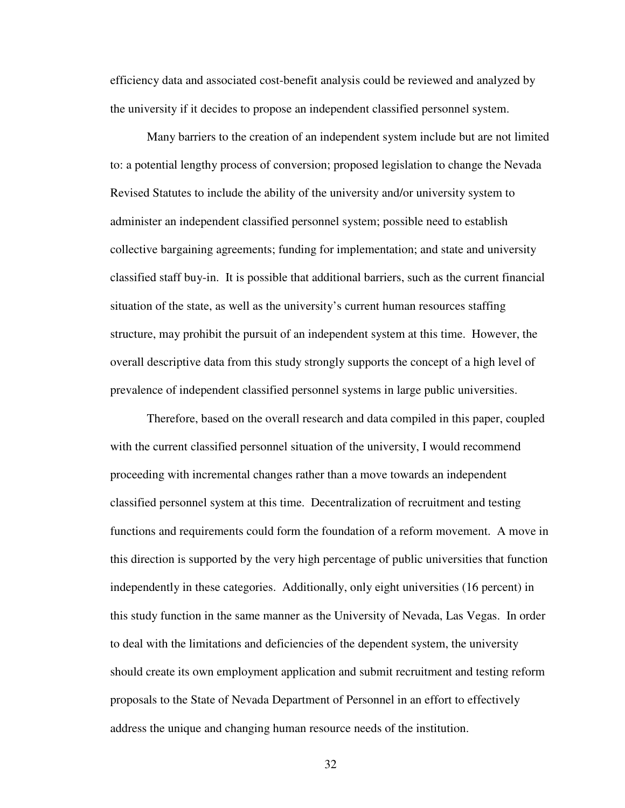efficiency data and associated cost-benefit analysis could be reviewed and analyzed by the university if it decides to propose an independent classified personnel system.

Many barriers to the creation of an independent system include but are not limited to: a potential lengthy process of conversion; proposed legislation to change the Nevada Revised Statutes to include the ability of the university and/or university system to administer an independent classified personnel system; possible need to establish collective bargaining agreements; funding for implementation; and state and university classified staff buy-in. It is possible that additional barriers, such as the current financial situation of the state, as well as the university's current human resources staffing structure, may prohibit the pursuit of an independent system at this time. However, the overall descriptive data from this study strongly supports the concept of a high level of prevalence of independent classified personnel systems in large public universities.

Therefore, based on the overall research and data compiled in this paper, coupled with the current classified personnel situation of the university, I would recommend proceeding with incremental changes rather than a move towards an independent classified personnel system at this time. Decentralization of recruitment and testing functions and requirements could form the foundation of a reform movement. A move in this direction is supported by the very high percentage of public universities that function independently in these categories. Additionally, only eight universities (16 percent) in this study function in the same manner as the University of Nevada, Las Vegas. In order to deal with the limitations and deficiencies of the dependent system, the university should create its own employment application and submit recruitment and testing reform proposals to the State of Nevada Department of Personnel in an effort to effectively address the unique and changing human resource needs of the institution.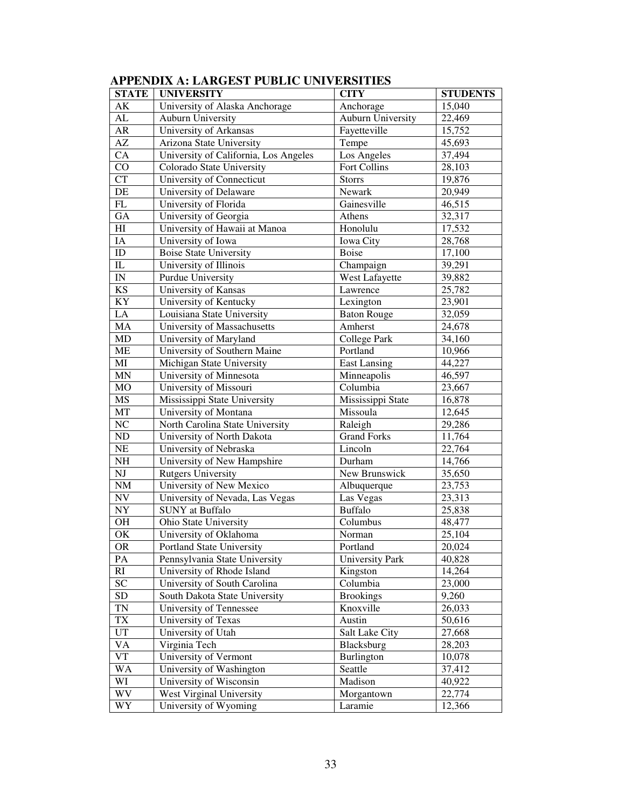| <b>STATE</b>             | <b>UNIVERSITY</b>                           | <b>CITY</b>            | <b>STUDENTS</b> |  |
|--------------------------|---------------------------------------------|------------------------|-----------------|--|
| AK                       | University of Alaska Anchorage<br>Anchorage |                        | 15,040          |  |
| AL                       | <b>Auburn University</b>                    | Auburn University      | 22,469          |  |
| AR                       | University of Arkansas                      | Fayetteville           | 15,752          |  |
| AZ                       | Arizona State University                    | Tempe<br>45,693        |                 |  |
| CA                       | University of California, Los Angeles       | Los Angeles            | 37,494          |  |
| $\rm CO$                 | Colorado State University                   | Fort Collins           | 28,103          |  |
| <b>CT</b>                | University of Connecticut                   | <b>Storrs</b>          | 19,876          |  |
| DE                       | University of Delaware                      | Newark                 | 20,949          |  |
| FL                       | University of Florida                       | Gainesville            | 46,515          |  |
| GA                       | University of Georgia                       | Athens                 | 32,317          |  |
| H <sub>I</sub>           | University of Hawaii at Manoa               | Honolulu               | 17,532          |  |
| IA                       | University of Iowa                          | Iowa City              | 28,768          |  |
| ID                       | <b>Boise State University</b>               | Boise                  | 17,100          |  |
| $\mathbf{I}$             | University of Illinois                      | Champaign              | 39,291          |  |
| $\ensuremath{\text{IN}}$ | Purdue University                           | West Lafayette         | 39,882          |  |
| <b>KS</b>                | University of Kansas                        | Lawrence               | 25,782          |  |
| KY                       | University of Kentucky                      | Lexington              | 23,901          |  |
| LA                       | Louisiana State University                  | <b>Baton Rouge</b>     | 32,059          |  |
| MA                       | University of Massachusetts                 | Amherst                | 24,678          |  |
| MD                       | University of Maryland                      | <b>College Park</b>    | 34,160          |  |
| ME                       | University of Southern Maine                | Portland               | 10,966          |  |
| MI                       | Michigan State University                   | <b>East Lansing</b>    | 44,227          |  |
| MN                       | University of Minnesota                     | Minneapolis            | 46,597          |  |
| <b>MO</b>                | University of Missouri                      | Columbia               | 23,667          |  |
| <b>MS</b>                | Mississippi State University                | Mississippi State      | 16,878          |  |
| MT                       | University of Montana                       | Missoula               | 12,645          |  |
| NC                       | North Carolina State University             | Raleigh                | 29,286          |  |
| ND                       | University of North Dakota                  | <b>Grand Forks</b>     | 11,764          |  |
| $\rm NE$                 | University of Nebraska                      | Lincoln                | 22,764          |  |
| NH                       | University of New Hampshire                 | Durham                 | 14,766          |  |
| NJ                       | <b>Rutgers University</b>                   | New Brunswick          | 35,650          |  |
| NM                       | University of New Mexico                    | Albuquerque            | 23,753          |  |
| NV                       | University of Nevada, Las Vegas             | Las Vegas              | 23,313          |  |
| NY                       | <b>SUNY</b> at Buffalo                      | Buffalo                | 25,838          |  |
| <b>OH</b>                | Ohio State University                       | Columbus               | 48,477          |  |
| OK                       | University of Oklahoma                      | Norman                 | 25,104          |  |
| <b>OR</b>                | <b>Portland State University</b>            | Portland               | 20,024          |  |
| PA                       | Pennsylvania State University               | <b>University Park</b> | 40,828          |  |
| RI                       | University of Rhode Island                  | Kingston               | 14,264          |  |
| <b>SC</b>                | University of South Carolina                | Columbia               | 23,000          |  |
| <b>SD</b>                | South Dakota State University               | <b>Brookings</b>       | 9,260           |  |
| TN                       | University of Tennessee                     | Knoxville              | 26,033          |  |
| TX                       | University of Texas                         | Austin                 | 50,616          |  |
| <b>UT</b>                | University of Utah                          | Salt Lake City         | 27,668          |  |
| <b>VA</b>                | Virginia Tech                               | Blacksburg             | 28,203          |  |
| <b>VT</b>                | University of Vermont                       | Burlington             | 10,078          |  |
| <b>WA</b>                | University of Washington                    | Seattle                | 37,412          |  |
| WI                       | University of Wisconsin                     | Madison                | 40,922          |  |
| WV                       | West Virginal University                    | Morgantown             | 22,774          |  |
| WY                       | University of Wyoming                       | Laramie                | 12,366          |  |

# **APPENDIX A: LARGEST PUBLIC UNIVERSITIES**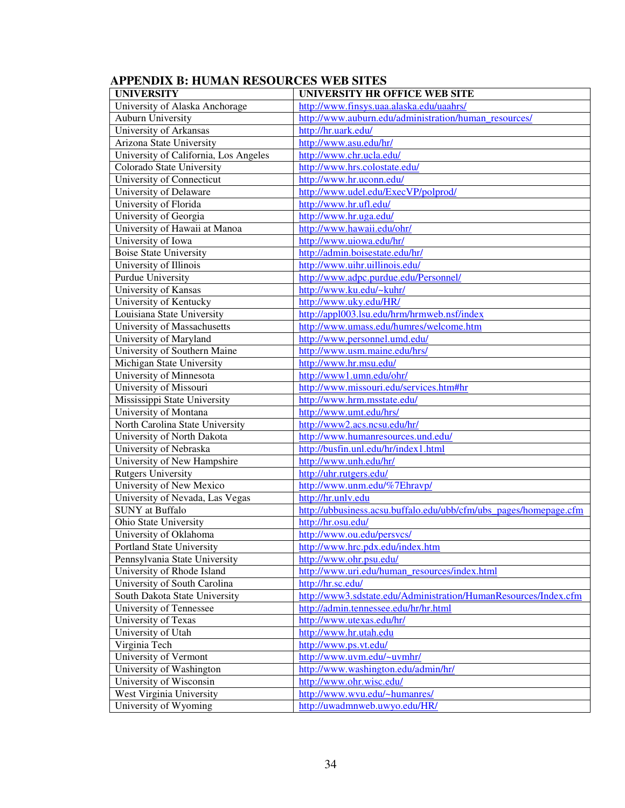| <b>UNIVERSITY</b>                     | UNIVERSITY HR OFFICE WEB SITE                                     |  |  |  |
|---------------------------------------|-------------------------------------------------------------------|--|--|--|
| University of Alaska Anchorage        | http://www.finsys.uaa.alaska.edu/uaahrs/                          |  |  |  |
| <b>Auburn University</b>              | http://www.auburn.edu/administration/human_resources/             |  |  |  |
| University of Arkansas                | http://hr.uark.edu/                                               |  |  |  |
| Arizona State University              | http://www.asu.edu/hr/                                            |  |  |  |
| University of California, Los Angeles | http://www.chr.ucla.edu/                                          |  |  |  |
| Colorado State University             | http://www.hrs.colostate.edu/                                     |  |  |  |
| University of Connecticut             | http://www.hr.uconn.edu/                                          |  |  |  |
| University of Delaware                | http://www.udel.edu/ExecVP/polprod/                               |  |  |  |
| University of Florida                 | http://www.hr.ufl.edu/                                            |  |  |  |
|                                       | http://www.hr.uga.edu/                                            |  |  |  |
| University of Georgia                 |                                                                   |  |  |  |
| University of Hawaii at Manoa         | http://www.hawaii.edu/ohr/                                        |  |  |  |
| University of Iowa                    | http://www.uiowa.edu/hr/                                          |  |  |  |
| <b>Boise State University</b>         | http://admin.boisestate.edu/hr/                                   |  |  |  |
| University of Illinois                | http://www.uihr.uillinois.edu/                                    |  |  |  |
| Purdue University                     | http://www.adpc.purdue.edu/Personnel/                             |  |  |  |
| University of Kansas                  | http://www.ku.edu/~kuhr/                                          |  |  |  |
| University of Kentucky                | http://www.uky.edu/HR/                                            |  |  |  |
| Louisiana State University            | http://appl003.lsu.edu/hrm/hrmweb.nsf/index                       |  |  |  |
| University of Massachusetts           | http://www.umass.edu/humres/welcome.htm                           |  |  |  |
| University of Maryland                | http://www.personnel.umd.edu/                                     |  |  |  |
| University of Southern Maine          | http://www.usm.maine.edu/hrs/                                     |  |  |  |
| Michigan State University             | http://www.hr.msu.edu/                                            |  |  |  |
| University of Minnesota               | http://www1.umn.edu/ohr/                                          |  |  |  |
| University of Missouri                | http://www.missouri.edu/services.htm#hr                           |  |  |  |
| Mississippi State University          | http://www.hrm.msstate.edu/                                       |  |  |  |
| University of Montana                 | http://www.umt.edu/hrs/                                           |  |  |  |
| North Carolina State University       | http://www2.acs.ncsu.edu/hr/                                      |  |  |  |
| University of North Dakota            | http://www.humanresources.und.edu/                                |  |  |  |
| University of Nebraska                | http://busfin.unl.edu/hr/index1.html                              |  |  |  |
| University of New Hampshire           | http://www.unh.edu/hr/                                            |  |  |  |
| <b>Rutgers University</b>             | http://uhr.rutgers.edu/                                           |  |  |  |
| University of New Mexico              | http://www.unm.edu/%7Ehravp/                                      |  |  |  |
| University of Nevada, Las Vegas       | http://hr.unlv.edu                                                |  |  |  |
| <b>SUNY</b> at Buffalo                | http://ubbusiness.acsu.buffalo.edu/ubb/cfm/ubs_pages/homepage.cfm |  |  |  |
| Ohio State University                 | http://hr.osu.edu/                                                |  |  |  |
| University of Oklahoma                | http://www.ou.edu/persvcs/                                        |  |  |  |
| Portland State University             | http://www.hrc.pdx.edu/index.htm                                  |  |  |  |
| Pennsylvania State University         | http://www.ohr.psu.edu/                                           |  |  |  |
| University of Rhode Island            | http://www.uri.edu/human_resources/index.html                     |  |  |  |
| University of South Carolina          | http://hr.sc.edu/                                                 |  |  |  |
| South Dakota State University         | http://www3.sdstate.edu/Administration/HumanResources/Index.cfm   |  |  |  |
| University of Tennessee               | http://admin.tennessee.edu/hr/hr.html                             |  |  |  |
| University of Texas                   | http://www.utexas.edu/hr/                                         |  |  |  |
| University of Utah                    | http://www.hr.utah.edu                                            |  |  |  |
| Virginia Tech                         | http://www.ps.vt.edu/                                             |  |  |  |
| University of Vermont                 | http://www.uvm.edu/~uvmhr/                                        |  |  |  |
| University of Washington              | http://www.washington.edu/admin/hr/                               |  |  |  |
| University of Wisconsin               | http://www.ohr.wisc.edu/                                          |  |  |  |
| West Virginia University              | http://www.wvu.edu/~humanres/                                     |  |  |  |
| University of Wyoming                 | http://uwadmnweb.uwyo.edu/HR/                                     |  |  |  |

# **APPENDIX B: HUMAN RESOURCES WEB SITES**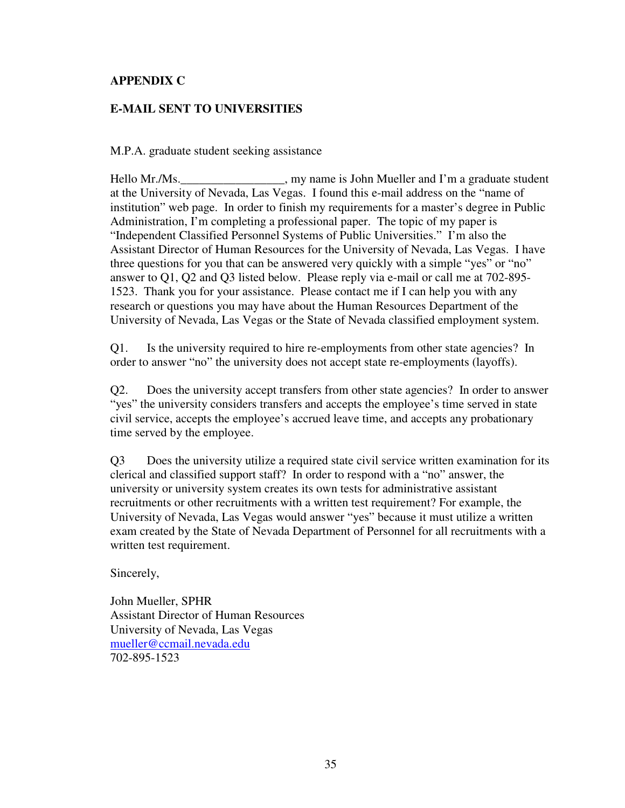## **APPENDIX C**

## **E-MAIL SENT TO UNIVERSITIES**

M.P.A. graduate student seeking assistance

Hello Mr./Ms. \_\_\_\_\_\_\_\_\_\_\_\_\_\_\_\_, my name is John Mueller and I'm a graduate student at the University of Nevada, Las Vegas. I found this e-mail address on the "name of institution" web page. In order to finish my requirements for a master's degree in Public Administration, I'm completing a professional paper. The topic of my paper is "Independent Classified Personnel Systems of Public Universities." I'm also the Assistant Director of Human Resources for the University of Nevada, Las Vegas. I have three questions for you that can be answered very quickly with a simple "yes" or "no" answer to Q1, Q2 and Q3 listed below. Please reply via e-mail or call me at 702-895- 1523. Thank you for your assistance. Please contact me if I can help you with any research or questions you may have about the Human Resources Department of the University of Nevada, Las Vegas or the State of Nevada classified employment system.

Q1. Is the university required to hire re-employments from other state agencies? In order to answer "no" the university does not accept state re-employments (layoffs).

Q2. Does the university accept transfers from other state agencies? In order to answer "yes" the university considers transfers and accepts the employee's time served in state civil service, accepts the employee's accrued leave time, and accepts any probationary time served by the employee.

Q3 Does the university utilize a required state civil service written examination for its clerical and classified support staff? In order to respond with a "no" answer, the university or university system creates its own tests for administrative assistant recruitments or other recruitments with a written test requirement? For example, the University of Nevada, Las Vegas would answer "yes" because it must utilize a written exam created by the State of Nevada Department of Personnel for all recruitments with a written test requirement.

Sincerely,

John Mueller, SPHR Assistant Director of Human Resources University of Nevada, Las Vegas mueller@ccmail.nevada.edu 702-895-1523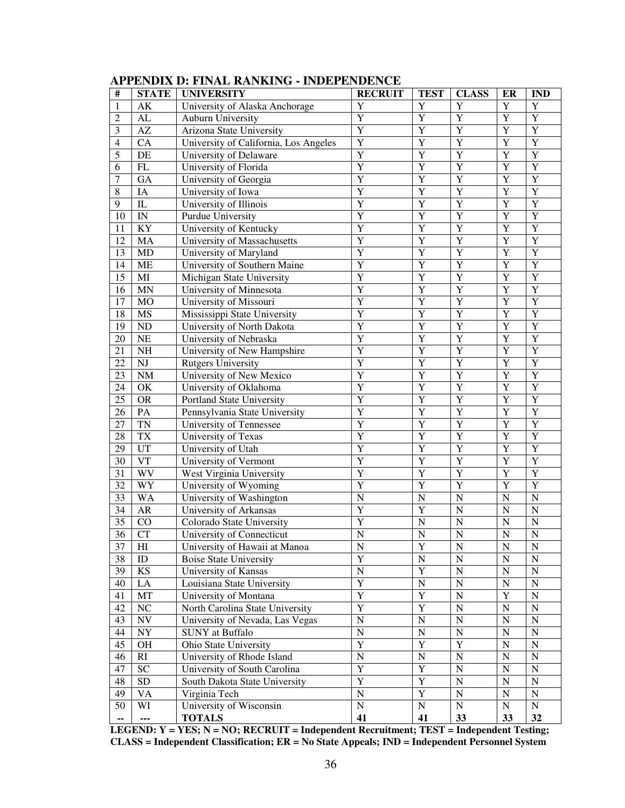| $\#$            | <b>STATE</b>             | <b>UNIVERSITY</b>                                                 | <b>RECRUIT</b>           | <b>TEST</b>             | <b>CLASS</b>          | ER                    | <b>IND</b>            |
|-----------------|--------------------------|-------------------------------------------------------------------|--------------------------|-------------------------|-----------------------|-----------------------|-----------------------|
| $\mathbf{1}$    | AK                       | University of Alaska Anchorage                                    | Y                        | Y                       | Y                     | $\mathbf Y$           | $\mathbf Y$           |
| $\mathfrak{2}$  | ${\rm AL}$               | <b>Auburn University</b>                                          | Y                        | $\overline{Y}$          | $\overline{Y}$        | Y                     | Y                     |
| $\mathfrak{Z}$  | AZ                       | Arizona State University                                          | $\overline{Y}$           | $\overline{Y}$          | $\overline{Y}$        | Y                     | $\overline{Y}$        |
| $\overline{4}$  | CA                       | University of California, Los Angeles                             | Y                        | $\overline{Y}$          | $\overline{Y}$        | Y                     | $\overline{Y}$        |
| 5               | DE                       | University of Delaware                                            | Y                        | $\overline{Y}$          | $\overline{Y}$        | Y                     | $\overline{Y}$        |
| 6               | $\mathbf{FL}$            | University of Florida                                             | Y                        | $\overline{Y}$          | $\overline{Y}$        | Y                     | $\overline{Y}$        |
| 7               | GA                       | University of Georgia                                             | Y                        | $\overline{Y}$          | $\overline{Y}$        | Y                     | $\overline{Y}$        |
| $\,$ 8 $\,$     | IA                       | University of Iowa                                                | Y                        | $\overline{Y}$          | $\overline{Y}$        | Y                     | $\overline{Y}$        |
| 9               | ${\rm IL}$               | University of Illinois                                            | Y                        | $\overline{Y}$          | $\overline{Y}$        | Y                     | $\overline{Y}$        |
| 10              | $\ensuremath{\text{IN}}$ | Purdue University                                                 | Y                        | Y                       | $\overline{Y}$        | Y                     | $\overline{Y}$        |
| 11              | KY                       | University of Kentucky                                            | Y                        | Y                       | $\overline{Y}$        | Y                     | $\overline{Y}$        |
| 12              | MA                       | University of Massachusetts                                       | Y                        | Y                       | $\overline{Y}$        | Y                     | $\overline{Y}$        |
| 13              | MD                       | University of Maryland                                            | Y                        | $\overline{Y}$          | $\overline{Y}$        | Y                     | $\overline{Y}$        |
| 14              | ME                       | University of Southern Maine                                      | Y                        | $\overline{Y}$          | $\overline{Y}$        | Y                     | $\overline{Y}$        |
| 15              | MI                       | Michigan State University                                         | Y                        | $\overline{Y}$          | $\overline{Y}$        | Y                     | $\overline{Y}$        |
| 16              | <b>MN</b>                | University of Minnesota                                           | Y                        | $\overline{Y}$          | $\overline{Y}$        | Y                     | $\overline{Y}$        |
| 17              | MO                       | University of Missouri                                            | Y                        | $\overline{Y}$          | $\overline{Y}$        | Y                     | $\overline{Y}$        |
| 18              | MS                       | Mississippi State University                                      | Y                        | $\overline{Y}$          | $\overline{Y}$        | Y                     | $\overline{Y}$        |
| 19              | ND                       | University of North Dakota                                        | Y                        | $\overline{Y}$          | $\overline{Y}$        | Y                     | $\overline{Y}$        |
| 20              | $\rm NE$                 | University of Nebraska                                            | Y                        | $\overline{Y}$          | $\overline{Y}$        | Y                     | $\overline{Y}$        |
| 21              | NH                       | University of New Hampshire                                       | Y                        | $\overline{Y}$          | $\overline{Y}$        | Y                     | $\overline{Y}$        |
| 22              | $\mathbf{N}\mathbf{J}$   | <b>Rutgers University</b>                                         | Y                        | $\overline{Y}$          | $\overline{Y}$        | Y                     | $\overline{Y}$        |
| 23              | <b>NM</b>                | $\overline{Y}$<br>$\overline{Y}$<br>Y<br>University of New Mexico |                          |                         | Y                     | $\overline{Y}$        |                       |
| 24              | OK                       | University of Oklahoma                                            | $\overline{Y}$<br>Y<br>Y |                         |                       | Y                     | $\overline{Y}$        |
| 25              | <b>OR</b>                | Portland State University                                         | Y                        | Y                       | $\overline{Y}$        | Y                     | $\overline{Y}$        |
| 26              | PA                       | Pennsylvania State University                                     | Y                        | Y                       | $\overline{Y}$        | Y                     | $\overline{Y}$        |
| 27              | $\mathbf{T}\mathbf{N}$   | University of Tennessee                                           | Y                        | $\overline{Y}$          | $\overline{Y}$        | Y                     | $\overline{Y}$        |
| 28              | <b>TX</b>                | University of Texas                                               | Y                        | $\overline{Y}$          | $\overline{Y}$        | Y                     | $\overline{Y}$        |
| 29              | UT                       | University of Utah                                                | Y                        | $\overline{Y}$          | $\overline{Y}$        | Y                     | $\overline{Y}$        |
| 30              | <b>VT</b>                | University of Vermont                                             | Y                        | Y                       | $\overline{Y}$        | Y                     | $\overline{Y}$        |
| 31              | <b>WV</b>                | West Virginia University                                          | Y                        | Y                       | $\overline{Y}$        | Y                     | $\overline{Y}$        |
| 32              | <b>WY</b>                | University of Wyoming                                             | Y                        | $\overline{Y}$          | Y                     | Y                     | $\overline{Y}$        |
| 33              | <b>WA</b>                | University of Washington                                          | $\mathbf N$              | $\mathbf N$             | $\overline{N}$        | ${\bf N}$             | $\mathbf N$           |
| 34              | ${\sf AR}$               | University of Arkansas                                            | Y                        | Y                       | $\overline{N}$        | $\mathbf N$           | $\mathbf N$           |
| 35              | CO                       | Colorado State University                                         | Y                        | $\overline{N}$          | $\overline{N}$        | $\mathbf N$           | $\mathbf N$           |
| 36              | <b>CT</b>                | University of Connecticut                                         | $\mathbf N$              | $\mathbf N$             | $\overline{N}$        | ${\bf N}$             | $\mathbf N$           |
| $\overline{37}$ | $\overline{\mathrm{HI}}$ | University of Hawaii at Manoa                                     | $\overline{\text{N}}$    | $\overline{\mathbf{Y}}$ | $\overline{\text{N}}$ | $\overline{\text{N}}$ | $\overline{\text{N}}$ |
| 38              | ID                       | <b>Boise State University</b>                                     | Y                        | $\mathbf N$             | $\mathbf N$           | ${\bf N}$             | $\mathbf N$           |
| 39              | <b>KS</b>                | University of Kansas                                              | ${\bf N}$                | Y                       | $\mathbf N$           | ${\bf N}$             | N                     |
| 40              | LA                       | Louisiana State University                                        | Y                        | $\mathbf N$             | ${\bf N}$             | ${\bf N}$             | $\mathbf N$           |
| 41              | MT                       | Y<br>University of Montana                                        |                          | $\mathbf Y$             | $\overline{N}$        | Y                     | $\mathbf N$           |
| 42              | NC                       | Y<br>Y<br>$\overline{N}$<br>North Carolina State University       |                          |                         | ${\bf N}$             | $\mathbf N$           |                       |
| 43              | <b>NV</b>                | University of Nevada, Las Vegas                                   | ${\bf N}$                | $\mathbf N$             | $\overline{N}$        | ${\bf N}$             | $\mathbf N$           |
| 44              | <b>NY</b>                | <b>SUNY</b> at Buffalo                                            | ${\bf N}$                | ${\bf N}$               | ${\bf N}$             | ${\bf N}$             | $\mathbf N$           |
| 45              | OH                       | Ohio State University                                             | Y                        | $\mathbf Y$             | $\overline{Y}$        | ${\bf N}$             | $\mathbf N$           |
| 46              | RI                       | University of Rhode Island                                        | ${\bf N}$                | $\mathbf N$             | $\mathbf N$           | ${\bf N}$             | $\mathbf N$           |
| 47              | <b>SC</b>                | University of South Carolina                                      | Y                        | $\mathbf Y$             | ${\bf N}$             | ${\bf N}$             | $\mathbf N$           |
| 48              | <b>SD</b>                | South Dakota State University                                     | Y                        | $\mathbf Y$             | ${\bf N}$             | ${\bf N}$             | $\mathbf N$           |
| 49              | VA                       | Virginia Tech                                                     | ${\bf N}$                | Y                       | ${\bf N}$             | ${\bf N}$             | $\mathbf N$           |
| 50              | WI                       | University of Wisconsin                                           | ${\bf N}$                | ${\bf N}$               | ${\bf N}$             | ${\bf N}$             | $\mathbf N$           |
| ۰.              | ---                      | <b>TOTALS</b>                                                     | 41                       | 41                      | 33                    | 33                    | 32                    |

**LEGEND: Y = YES; N = NO; RECRUIT = Independent Recruitment; TEST = Independent Testing; CLASS = Independent Classification; ER = No State Appeals; IND = Independent Personnel System**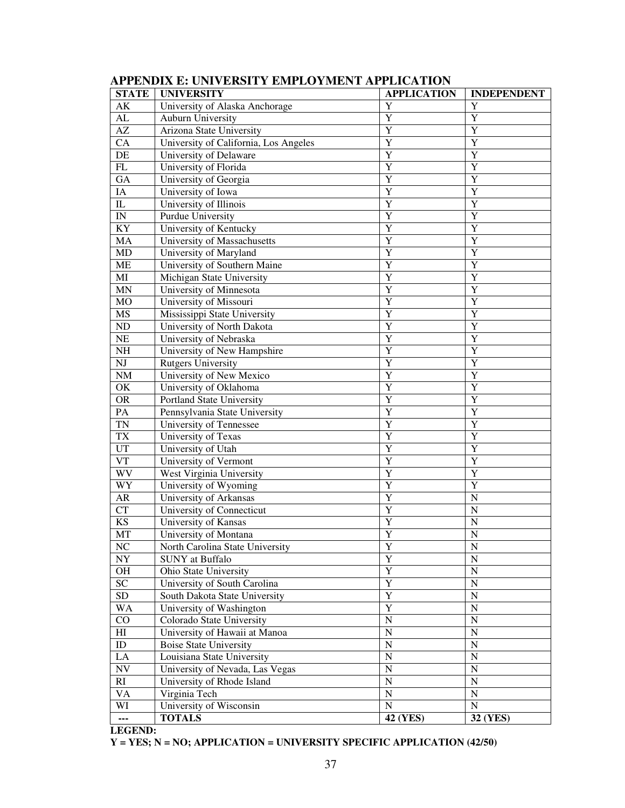| <b>STATE</b>             | <b>UNIVERSITY</b>                     | <b>INDEPENDENT</b> |                       |  |  |
|--------------------------|---------------------------------------|--------------------|-----------------------|--|--|
| AK                       | University of Alaska Anchorage        | Y                  | Y                     |  |  |
| AL                       | Auburn University                     | Y                  | Y                     |  |  |
| AZ                       | Arizona State University              | $\overline{Y}$     | $\overline{Y}$        |  |  |
| $\overline{CA}$          | University of California, Los Angeles | $\overline{Y}$     | Y                     |  |  |
| DE                       | University of Delaware                | Y                  | Y                     |  |  |
| ${\rm FL}$               | University of Florida                 | Y                  | Y                     |  |  |
| GA                       | University of Georgia                 | Y                  | Y                     |  |  |
| IA                       | University of Iowa                    | Y                  | Y                     |  |  |
| ${\rm IL}$               | University of Illinois                | Y                  | Y                     |  |  |
| $\ensuremath{\text{IN}}$ | Purdue University                     | Y                  | Y                     |  |  |
| KY                       | University of Kentucky                | Y                  | Y                     |  |  |
| MA                       | University of Massachusetts           | Y                  | Y                     |  |  |
| MD                       | University of Maryland                | Y                  | Y                     |  |  |
| <b>ME</b>                | University of Southern Maine          | Y                  | Y                     |  |  |
| MI                       | Michigan State University             | Y                  | Y                     |  |  |
| $\mbox{MN}$              | University of Minnesota               | Y                  | Y                     |  |  |
| <b>MO</b>                | University of Missouri                | Y                  | Y                     |  |  |
| <b>MS</b>                | Mississippi State University          | Y                  | Y                     |  |  |
| ND                       | University of North Dakota            | Y                  | Y                     |  |  |
| NE                       | University of Nebraska                | Y                  | Y                     |  |  |
| $\rm NH$                 | University of New Hampshire           | Y                  | Y                     |  |  |
| NJ                       | <b>Rutgers University</b>             | Y                  | Y                     |  |  |
| $\rm{NM}$                | University of New Mexico              | Y                  | Y                     |  |  |
| OK                       | University of Oklahoma                | Y                  | Y                     |  |  |
| <b>OR</b>                | Portland State University             | Y                  | Y                     |  |  |
| PA                       | Pennsylvania State University         | $\overline{Y}$     | Y                     |  |  |
| <b>TN</b>                | University of Tennessee               | Y                  | Y                     |  |  |
| <b>TX</b>                | University of Texas                   | Y                  | Y                     |  |  |
| <b>UT</b>                | University of Utah                    | Y                  | Y                     |  |  |
| $\overline{\text{VT}}$   | University of Vermont                 | Y                  | Y                     |  |  |
| <b>WV</b>                | West Virginia University              | Y                  | Y                     |  |  |
| WY                       | University of Wyoming                 | Y                  | Y                     |  |  |
| ${\sf AR}$               | University of Arkansas                | Y                  | $\overline{N}$        |  |  |
| CT                       | University of Connecticut             | Y                  | $\overline{N}$        |  |  |
| <b>KS</b>                | University of Kansas                  | Y                  | $\overline{N}$        |  |  |
| MT                       | University of Montana                 | Y                  | $\overline{N}$        |  |  |
| $\overline{\text{NC}}$   | North Carolina State University       | Y                  | $\overline{\text{N}}$ |  |  |
| ${\rm NY}$               | <b>SUNY</b> at Buffalo                | Y                  | $\mathbf N$           |  |  |
| OH                       | Ohio State University                 | $\overline{Y}$     | $\mathbf N$           |  |  |
| $\overline{SC}$          | University of South Carolina          | $\overline{Y}$     | $\mathbf N$           |  |  |
| ${\rm SD}$               | South Dakota State University         | $\overline{Y}$     | $\mathbf N$           |  |  |
| <b>WA</b>                | University of Washington              | $\overline{Y}$     | $\mathbf N$           |  |  |
| CO                       | Colorado State University             | ${\bf N}$          | $\mathbf N$           |  |  |
| H                        | University of Hawaii at Manoa         | ${\bf N}$          | $\mathbf N$           |  |  |
| ID                       | <b>Boise State University</b>         | ${\bf N}$          | $\mathbf N$           |  |  |
| $\rm LA$                 | Louisiana State University            | ${\bf N}$          | $\mathbf N$           |  |  |
| $\ensuremath{\text{NV}}$ | University of Nevada, Las Vegas       | ${\bf N}$          | $\mathbf N$           |  |  |
| RI                       | University of Rhode Island            | ${\bf N}$          | $\mathbf N$           |  |  |
| <b>VA</b>                | Virginia Tech                         | ${\bf N}$          | $\mathbf N$           |  |  |
| WI                       | University of Wisconsin               | ${\bf N}$          | ${\bf N}$             |  |  |
| ---                      | <b>TOTALS</b>                         | 42 (YES)           | 32 (YES)              |  |  |

## **APPENDIX E: UNIVERSITY EMPLOYMENT APPLICATION**

#### **LEGEND:**

**Y = YES; N = NO; APPLICATION = UNIVERSITY SPECIFIC APPLICATION (42/50)**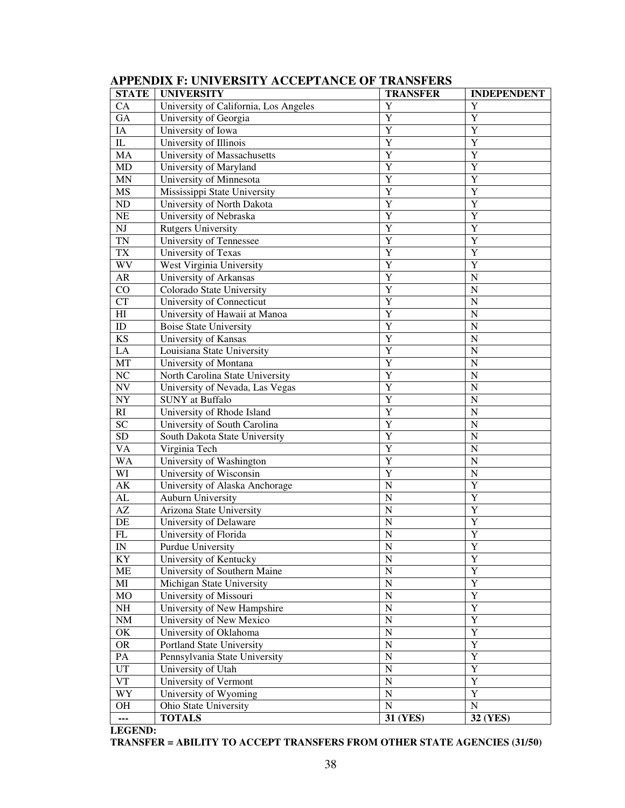| <b>STATE</b>             | <b>UNIVERSITY</b>                     | <b>INDEPENDENT</b>         |                         |  |  |
|--------------------------|---------------------------------------|----------------------------|-------------------------|--|--|
| CA                       | University of California, Los Angeles | Y                          | Y                       |  |  |
| <b>GA</b>                | University of Georgia                 | Y                          | $\overline{Y}$          |  |  |
| IA                       | University of Iowa                    | Y                          | $\overline{Y}$          |  |  |
| $\rm IL$                 | University of Illinois                | Y                          | Y                       |  |  |
| MA                       | University of Massachusetts           | Y                          | Y                       |  |  |
| MD                       | University of Maryland                | Y                          | Y                       |  |  |
| <b>MN</b>                | University of Minnesota               | Y                          | Y                       |  |  |
| <b>MS</b>                | Mississippi State University          | Y                          | Y                       |  |  |
| $\rm ND$                 | University of North Dakota            | Y                          | Y                       |  |  |
| NE                       | University of Nebraska                | Y                          | Y                       |  |  |
| NJ                       | <b>Rutgers University</b>             | Y                          | Y                       |  |  |
| <b>TN</b>                | University of Tennessee               | Y                          | Y                       |  |  |
| <b>TX</b>                | University of Texas                   | Y                          | Y                       |  |  |
| WV                       | West Virginia University              | Y                          | Y                       |  |  |
| AR                       | University of Arkansas                | Y                          | N                       |  |  |
| CO                       | Colorado State University             | Y                          | $\overline{N}$          |  |  |
| <b>CT</b>                | University of Connecticut             | Y                          | $\overline{N}$          |  |  |
| H                        | University of Hawaii at Manoa         | Y                          | $\overline{N}$          |  |  |
| ID                       | <b>Boise State University</b>         | Y                          | $\overline{N}$          |  |  |
| <b>KS</b>                | University of Kansas                  | Y                          | $\overline{N}$          |  |  |
| LA                       | Louisiana State University            | Y                          | $\overline{N}$          |  |  |
| MT                       | University of Montana                 | Y                          | $\overline{N}$          |  |  |
| NC                       | North Carolina State University       | Y                          | $\overline{N}$          |  |  |
| NV                       | University of Nevada, Las Vegas       | Y                          | $\overline{N}$          |  |  |
| $\ensuremath{\text{NY}}$ | <b>SUNY</b> at Buffalo                | Y                          | $\overline{N}$          |  |  |
| RI                       | University of Rhode Island            | Y                          | $\overline{N}$          |  |  |
| <b>SC</b>                | University of South Carolina          | Y                          | $\overline{N}$          |  |  |
| <b>SD</b>                | South Dakota State University         | Y                          | $\overline{N}$          |  |  |
| <b>VA</b>                | Virginia Tech                         | Y                          | $\overline{N}$          |  |  |
| <b>WA</b>                | University of Washington              | Y                          | $\overline{N}$          |  |  |
| WI                       | University of Wisconsin               | Y                          | $\overline{N}$          |  |  |
| AK                       | University of Alaska Anchorage        | $\overline{N}$             | $\overline{Y}$          |  |  |
| AL                       | <b>Auburn University</b>              | N                          | Y                       |  |  |
| AZ                       | Arizona State University              | N                          | Y                       |  |  |
| DE                       | University of Delaware                | N                          | Y                       |  |  |
| ${\rm FL}$               | University of Florida                 | N                          | Y                       |  |  |
| $\mathbf{IN}$            | Purdue University                     | $\overline{N}$             | $\overline{\mathbf{Y}}$ |  |  |
| KY                       | University of Kentucky                | $\mathbf N$                | Y                       |  |  |
| ME                       | University of Southern Maine          | $\mathbf N$                | $\overline{Y}$          |  |  |
| MI                       | Michigan State University             | $\mathbf N$                | $\overline{Y}$          |  |  |
| MO                       | University of Missouri                | $\mathbf N$                | $\overline{Y}$          |  |  |
| NH                       | University of New Hampshire           | $\mathbf N$                | $\overline{Y}$          |  |  |
| $\rm{NM}$                | University of New Mexico              | $\mathbf N$                | $\overline{Y}$          |  |  |
| OK                       | University of Oklahoma                | $\mathbf N$                | $\overline{Y}$          |  |  |
| <b>OR</b>                | Portland State University             | $\mathbf N$                | $\overline{Y}$          |  |  |
| PA                       | Pennsylvania State University         | $\mathbf N$                | $\overline{Y}$          |  |  |
| UT                       | University of Utah                    | $\mathbf N$                | $\overline{Y}$          |  |  |
| <b>VT</b>                | University of Vermont                 | $\mathbf N$                | $\overline{Y}$          |  |  |
| WY                       | University of Wyoming                 | $\mathbf N$<br>$\mathbf N$ | $\overline{Y}$          |  |  |
| OН                       | Ohio State University                 | $\mathbf N$                |                         |  |  |
| ---                      | <b>TOTALS</b>                         | 31 (YES)                   | <b>32 (YES)</b>         |  |  |

# **APPENDIX F: UNIVERSITY ACCEPTANCE OF TRANSFERS**

**LEGEND:** 

**TRANSFER = ABILITY TO ACCEPT TRANSFERS FROM OTHER STATE AGENCIES (31/50)**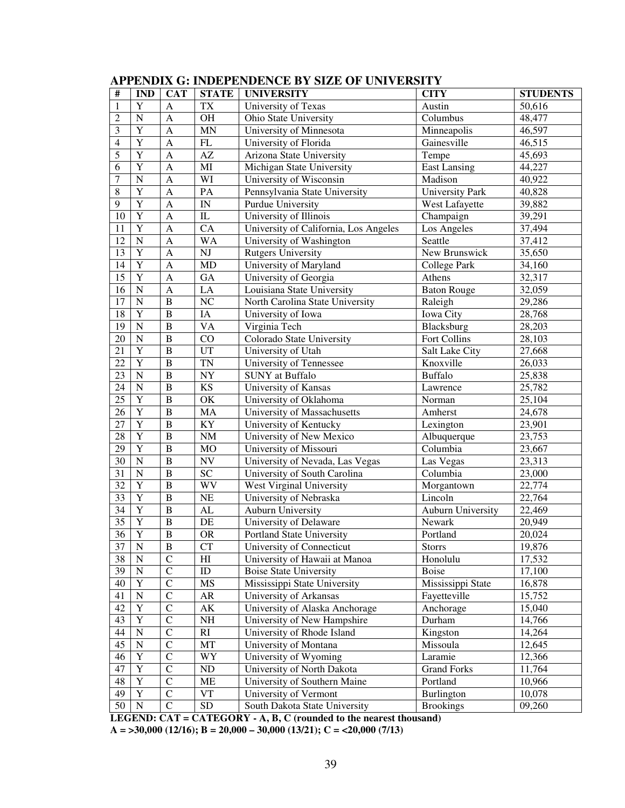| $\#$            | <b>IND</b>     | <b>CAT</b>     | <b>STATE</b>             | <b>UNIVERSITY</b>                     | <b>CITY</b>            | <b>STUDENTS</b> |
|-----------------|----------------|----------------|--------------------------|---------------------------------------|------------------------|-----------------|
| $\mathbf{1}$    | Y              | A              | <b>TX</b>                | University of Texas                   | Austin                 | 50,616          |
| $\overline{c}$  | $\overline{N}$ | $\mathbf{A}$   | OH                       | Ohio State University                 | Columbus               | 48,477          |
| 3               | Y              | $\mathbf{A}$   | <b>MN</b>                | University of Minnesota               | Minneapolis            | 46,597          |
| $\overline{4}$  | $\overline{Y}$ | $\mathbf{A}$   | ${\rm FL}$               | University of Florida                 | Gainesville            | 46,515          |
| $\overline{5}$  | $\overline{Y}$ | $\mathbf{A}$   | $\mathbf{A}\mathbf{Z}$   | Arizona State University              | Tempe                  | 45,693          |
| 6               | $\overline{Y}$ | $\mathbf{A}$   | MI                       | Michigan State University             | <b>East Lansing</b>    | 44,227          |
| $\overline{7}$  | $\overline{N}$ | $\mathbf{A}$   | WI                       | University of Wisconsin               | Madison                | 40,922          |
| 8               | Y              | $\mathbf{A}$   | PA                       | Pennsylvania State University         | <b>University Park</b> | 40,828          |
| 9               | $\overline{Y}$ | $\mathbf{A}$   | $\mathbf{IN}$            | Purdue University                     | West Lafayette         | 39,882          |
| 10              | $\overline{Y}$ | $\mathbf{A}$   | ${\rm IL}$               | University of Illinois                | Champaign              | 39,291          |
| 11              | $\overline{Y}$ | $\mathbf{A}$   | CA                       | University of California, Los Angeles | Los Angeles            | 37,494          |
| 12              | $\overline{N}$ | $\mathbf{A}$   | $\overline{W}A$          | University of Washington              | Seattle                | 37,412          |
| 13              | $\mathbf Y$    | $\mathbf{A}$   | NJ                       | <b>Rutgers University</b>             | New Brunswick          | 35,650          |
| 14              | $\overline{Y}$ | $\mathbf{A}$   | MD                       | University of Maryland                | College Park           | 34,160          |
| 15              | $\overline{Y}$ | $\mathbf{A}$   | GA                       | University of Georgia                 | Athens                 | 32,317          |
| 16              | $\overline{N}$ | $\mathbf{A}$   | LA                       | Louisiana State University            | <b>Baton Rouge</b>     | 32,059          |
| 17              | $\overline{N}$ | $\, {\bf B}$   | NC                       | North Carolina State University       | Raleigh                | 29,286          |
| 18              | Y              | $\bf{B}$       | IA                       | University of Iowa                    | Iowa City              | 28,768          |
| 19              | $\overline{N}$ | $\bf{B}$       | <b>VA</b>                | Virginia Tech                         | Blacksburg             | 28,203          |
| 20              | $\overline{N}$ | $\bf{B}$       | CO                       | Colorado State University             | Fort Collins           | 28,103          |
| 21              | $\overline{Y}$ | $\bf{B}$       | UT                       | University of Utah                    | Salt Lake City         | 27,668          |
| 22              | $\overline{Y}$ | $\bf{B}$       | <b>TN</b>                | University of Tennessee               | Knoxville              | 26,033          |
| 23              | $\mathbf N$    | $\bf{B}$       | NY                       | <b>SUNY</b> at Buffalo                | <b>Buffalo</b>         | 25,838          |
| 24              | $\overline{N}$ | $\bf{B}$       | KS                       | University of Kansas                  | Lawrence               | 25,782          |
| 25              | $\mathbf Y$    | $\, {\bf B}$   | OK                       | University of Oklahoma                | Norman                 | 25,104          |
| 26              | $\overline{Y}$ | $\bf{B}$       | MA                       | University of Massachusetts           | Amherst                | 24,678          |
| 27              | $\overline{Y}$ | $\bf{B}$       | KY                       | University of Kentucky                | Lexington              | 23,901          |
| 28              | $\overline{Y}$ | $\bf{B}$       | $\rm{NM}$                | University of New Mexico              | Albuquerque            | 23,753          |
| 29              | $\mathbf Y$    | $\bf{B}$       | MO                       | University of Missouri                | Columbia               | 23,667          |
| 30              | $\overline{N}$ | $\bf{B}$       | $\ensuremath{\text{NV}}$ | University of Nevada, Las Vegas       | Las Vegas              | 23,313          |
| 31              | $\mathbf N$    | $\bf{B}$       | SC                       | University of South Carolina          | Columbia               | 23,000          |
| 32              | $\mathbf Y$    | $\bf{B}$       | WV                       | West Virginal University              | Morgantown             | 22,774          |
| 33              | $\overline{Y}$ | $\bf{B}$       | NE                       | University of Nebraska                | Lincoln                | 22,764          |
| 34              | $\overline{Y}$ | $\, {\bf B}$   | AL                       | <b>Auburn University</b>              | Auburn University      | 22,469          |
| 35              | $\overline{Y}$ | $\, {\bf B}$   | $\rm DE$                 | University of Delaware                | Newark                 | 20,949          |
| 36              | $\overline{Y}$ | $\overline{B}$ | OR                       | Portland State University             | Portland               | 20,024          |
| 37              | N              | B              | <b>CT</b>                | University of Connecticut             | <b>Storrs</b>          | 19,876          |
| 38              | $\mathbf N$    | $\overline{C}$ | H                        | University of Hawaii at Manoa         | Honolulu               | 17,532          |
| 39              | ${\bf N}$      | $\mathsf C$    | ID                       | <b>Boise State University</b>         | Boise                  | 17,100          |
| 40              | $\mathbf Y$    | $\mathsf{C}$   | $\rm MS$                 | Mississippi State University          | Mississippi State      | 16,878          |
| 41              | ${\bf N}$      | $\mathsf{C}$   | AR                       | University of Arkansas                | Fayetteville           | 15,752          |
| 42              | $\mathbf Y$    | $\mathsf{C}$   | $\mathbf{A}\mathbf{K}$   | University of Alaska Anchorage        | Anchorage              | 15,040          |
| 43              | $\mathbf Y$    | $\mathsf{C}$   | $\rm NH$                 | University of New Hampshire           | Durham                 | 14,766          |
| 44              | ${\bf N}$      | $\mathsf{C}$   | RI                       | University of Rhode Island            | Kingston               | 14,264          |
| 45              | ${\bf N}$      | $\mathsf{C}$   | MT                       | University of Montana                 | Missoula               | 12,645          |
| 46              | $\mathbf Y$    | $\mathsf C$    | WY                       | University of Wyoming                 | Laramie                | 12,366          |
| 47              | $\mathbf Y$    | $\mathsf C$    | ${\rm ND}$               | University of North Dakota            | <b>Grand Forks</b>     | 11,764          |
| 48              | $\mathbf Y$    | $\mathsf C$    | ME                       | University of Southern Maine          | Portland               | 10,966          |
| 49              | $\mathbf Y$    | $\mathsf C$    | VT                       | University of Vermont                 | Burlington             | 10,078          |
| $\overline{50}$ | $\overline{N}$ | $\mathsf C$    | ${\rm SD}$               | South Dakota State University         | <b>Brookings</b>       | 09,260          |

# **APPENDIX G: INDEPENDENCE BY SIZE OF UNIVERSITY**

**LEGEND: CAT = CATEGORY - A, B, C (rounded to the nearest thousand)** 

**A = >30,000 (12/16); B = 20,000 – 30,000 (13/21); C = <20,000 (7/13)**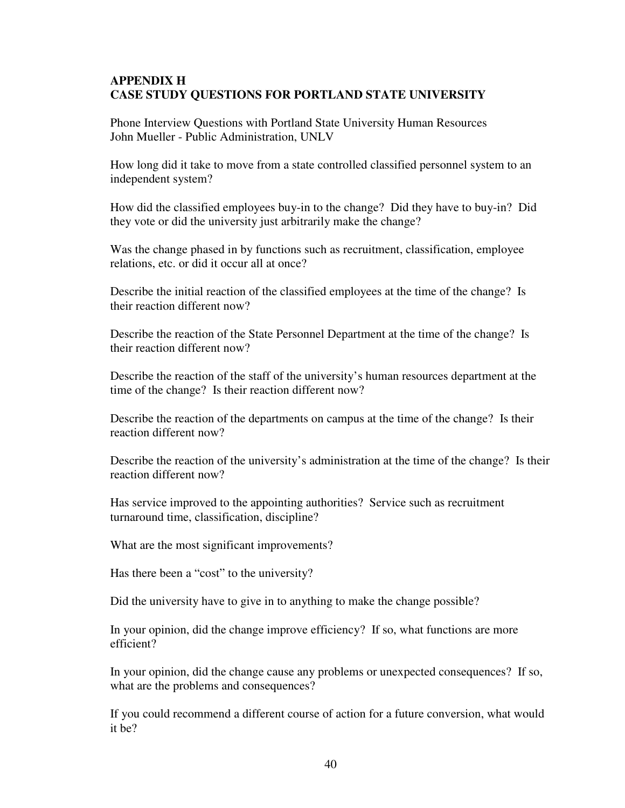## **APPENDIX H CASE STUDY QUESTIONS FOR PORTLAND STATE UNIVERSITY**

Phone Interview Questions with Portland State University Human Resources John Mueller - Public Administration, UNLV

How long did it take to move from a state controlled classified personnel system to an independent system?

How did the classified employees buy-in to the change? Did they have to buy-in? Did they vote or did the university just arbitrarily make the change?

Was the change phased in by functions such as recruitment, classification, employee relations, etc. or did it occur all at once?

Describe the initial reaction of the classified employees at the time of the change? Is their reaction different now?

Describe the reaction of the State Personnel Department at the time of the change? Is their reaction different now?

Describe the reaction of the staff of the university's human resources department at the time of the change? Is their reaction different now?

Describe the reaction of the departments on campus at the time of the change? Is their reaction different now?

Describe the reaction of the university's administration at the time of the change? Is their reaction different now?

Has service improved to the appointing authorities? Service such as recruitment turnaround time, classification, discipline?

What are the most significant improvements?

Has there been a "cost" to the university?

Did the university have to give in to anything to make the change possible?

In your opinion, did the change improve efficiency? If so, what functions are more efficient?

In your opinion, did the change cause any problems or unexpected consequences? If so, what are the problems and consequences?

If you could recommend a different course of action for a future conversion, what would it be?